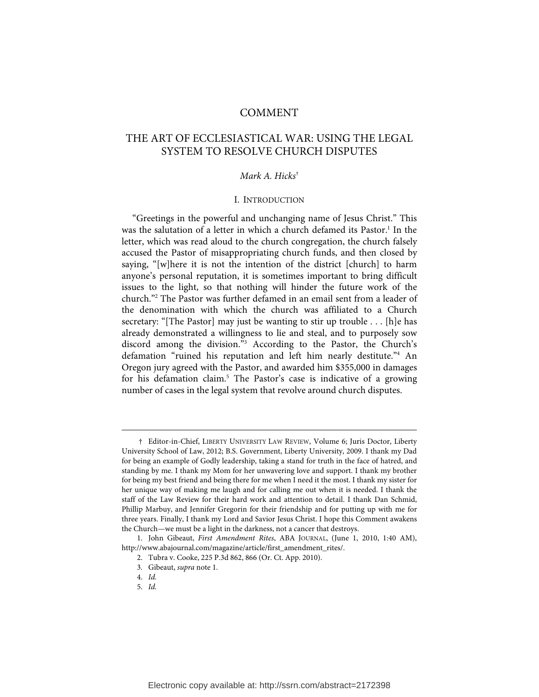# COMMENT

# THE ART OF ECCLESIASTICAL WAR: USING THE LEGAL SYSTEM TO RESOLVE CHURCH DISPUTES

## Mark A. Hicks†

#### I. INTRODUCTION

"Greetings in the powerful and unchanging name of Jesus Christ." This was the salutation of a letter in which a church defamed its Pastor.<sup>1</sup> In the letter, which was read aloud to the church congregation, the church falsely accused the Pastor of misappropriating church funds, and then closed by saying, "[w]here it is not the intention of the district [church] to harm anyone's personal reputation, it is sometimes important to bring difficult issues to the light, so that nothing will hinder the future work of the church."2 The Pastor was further defamed in an email sent from a leader of the denomination with which the church was affiliated to a Church secretary: "[The Pastor] may just be wanting to stir up trouble . . . [h]e has already demonstrated a willingness to lie and steal, and to purposely sow discord among the division."3 According to the Pastor, the Church's defamation "ruined his reputation and left him nearly destitute."4 An Oregon jury agreed with the Pastor, and awarded him \$355,000 in damages for his defamation claim.<sup>5</sup> The Pastor's case is indicative of a growing number of cases in the legal system that revolve around church disputes.

 <sup>†</sup> Editor-in-Chief, LIBERTY UNIVERSITY LAW REVIEW, Volume 6; Juris Doctor, Liberty University School of Law, 2012; B.S. Government, Liberty University, 2009. I thank my Dad for being an example of Godly leadership, taking a stand for truth in the face of hatred, and standing by me. I thank my Mom for her unwavering love and support. I thank my brother for being my best friend and being there for me when I need it the most. I thank my sister for her unique way of making me laugh and for calling me out when it is needed. I thank the staff of the Law Review for their hard work and attention to detail. I thank Dan Schmid, Phillip Marbuy, and Jennifer Gregorin for their friendship and for putting up with me for three years. Finally, I thank my Lord and Savior Jesus Christ. I hope this Comment awakens the Church—we must be a light in the darkness, not a cancer that destroys.

 <sup>1.</sup> John Gibeaut, First Amendment Rites, ABA JOURNAL, (June 1, 2010, 1:40 AM), http://www.abajournal.com/magazine/article/first\_amendment\_rites/.

 <sup>2.</sup> Tubra v. Cooke, 225 P.3d 862, 866 (Or. Ct. App. 2010).

 <sup>3.</sup> Gibeaut, supra note 1.

 <sup>4.</sup> Id.

 <sup>5.</sup> Id.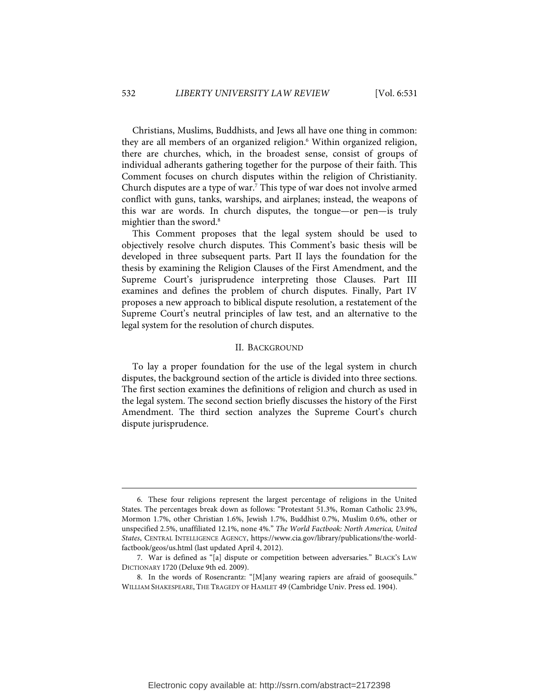Christians, Muslims, Buddhists, and Jews all have one thing in common: they are all members of an organized religion.<sup>6</sup> Within organized religion, there are churches, which, in the broadest sense, consist of groups of individual adherants gathering together for the purpose of their faith. This Comment focuses on church disputes within the religion of Christianity. Church disputes are a type of war.<sup>7</sup> This type of war does not involve armed conflict with guns, tanks, warships, and airplanes; instead, the weapons of this war are words. In church disputes, the tongue—or pen—is truly mightier than the sword.<sup>8</sup>

This Comment proposes that the legal system should be used to objectively resolve church disputes. This Comment's basic thesis will be developed in three subsequent parts. Part II lays the foundation for the thesis by examining the Religion Clauses of the First Amendment, and the Supreme Court's jurisprudence interpreting those Clauses. Part III examines and defines the problem of church disputes. Finally, Part IV proposes a new approach to biblical dispute resolution, a restatement of the Supreme Court's neutral principles of law test, and an alternative to the legal system for the resolution of church disputes.

#### II. BACKGROUND

To lay a proper foundation for the use of the legal system in church disputes, the background section of the article is divided into three sections. The first section examines the definitions of religion and church as used in the legal system. The second section briefly discusses the history of the First Amendment. The third section analyzes the Supreme Court's church dispute jurisprudence.

j

Electronic copy available at: http://ssrn.com/abstract=2172398

 <sup>6.</sup> These four religions represent the largest percentage of religions in the United States. The percentages break down as follows: "Protestant 51.3%, Roman Catholic 23.9%, Mormon 1.7%, other Christian 1.6%, Jewish 1.7%, Buddhist 0.7%, Muslim 0.6%, other or unspecified 2.5%, unaffiliated 12.1%, none 4%." The World Factbook: North America, United States, CENTRAL INTELLIGENCE AGENCY, https://www.cia.gov/library/publications/the-worldfactbook/geos/us.html (last updated April 4, 2012).

 <sup>7.</sup> War is defined as "[a] dispute or competition between adversaries." BLACK'S LAW DICTIONARY 1720 (Deluxe 9th ed. 2009).

 <sup>8.</sup> In the words of Rosencrantz: "[M]any wearing rapiers are afraid of goosequils." WILLIAM SHAKESPEARE, THE TRAGEDY OF HAMLET 49 (Cambridge Univ. Press ed. 1904).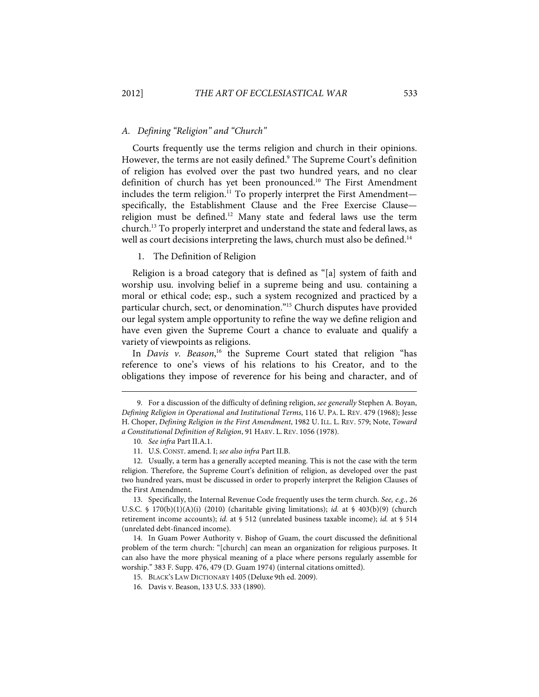# A. Defining "Religion" and "Church"

Courts frequently use the terms religion and church in their opinions. However, the terms are not easily defined.<sup>9</sup> The Supreme Court's definition of religion has evolved over the past two hundred years, and no clear definition of church has yet been pronounced.10 The First Amendment includes the term religion.<sup>11</sup> To properly interpret the First Amendment specifically, the Establishment Clause and the Free Exercise Clause religion must be defined.<sup>12</sup> Many state and federal laws use the term church.13 To properly interpret and understand the state and federal laws, as well as court decisions interpreting the laws, church must also be defined.<sup>14</sup>

1. The Definition of Religion

Religion is a broad category that is defined as "[a] system of faith and worship usu. involving belief in a supreme being and usu. containing a moral or ethical code; esp., such a system recognized and practiced by a particular church, sect, or denomination."<sup>15</sup> Church disputes have provided our legal system ample opportunity to refine the way we define religion and have even given the Supreme Court a chance to evaluate and qualify a variety of viewpoints as religions.

In Davis v. Beason,<sup>16</sup> the Supreme Court stated that religion "has reference to one's views of his relations to his Creator, and to the obligations they impose of reverence for his being and character, and of

j

 13. Specifically, the Internal Revenue Code frequently uses the term church. See, e.g., 26 U.S.C. § 170(b)(1)(A)(i) (2010) (charitable giving limitations); id. at § 403(b)(9) (church retirement income accounts); id. at § 512 (unrelated business taxable income); id. at § 514 (unrelated debt-financed income).

 14. In Guam Power Authority v. Bishop of Guam, the court discussed the definitional problem of the term church: "[church] can mean an organization for religious purposes. It can also have the more physical meaning of a place where persons regularly assemble for worship." 383 F. Supp. 476, 479 (D. Guam 1974) (internal citations omitted).

 <sup>9.</sup> For a discussion of the difficulty of defining religion, see generally Stephen A. Boyan, Defining Religion in Operational and Institutional Terms, 116 U. PA. L. REV. 479 (1968); Jesse H. Choper, Defining Religion in the First Amendment, 1982 U. ILL. L. REV. 579; Note, Toward a Constitutional Definition of Religion, 91 HARV. L. REV. 1056 (1978).

 <sup>10.</sup> See infra Part II.A.1.

 <sup>11.</sup> U.S. CONST. amend. I; see also infra Part II.B.

 <sup>12.</sup> Usually, a term has a generally accepted meaning. This is not the case with the term religion. Therefore, the Supreme Court's definition of religion, as developed over the past two hundred years, must be discussed in order to properly interpret the Religion Clauses of the First Amendment.

 <sup>15.</sup> BLACK'S LAW DICTIONARY 1405 (Deluxe 9th ed. 2009).

 <sup>16.</sup> Davis v. Beason, 133 U.S. 333 (1890).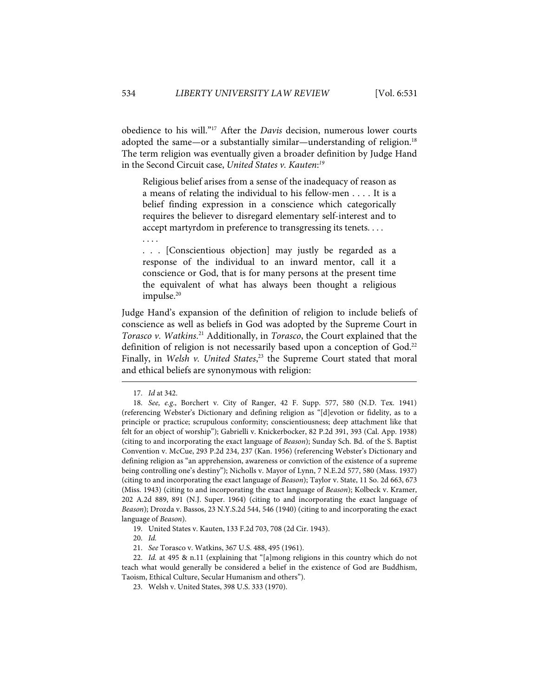obedience to his will."<sup>17</sup> After the *Davis* decision, numerous lower courts adopted the same—or a substantially similar—understanding of religion.<sup>18</sup> The term religion was eventually given a broader definition by Judge Hand in the Second Circuit case, United States v. Kauten:<sup>19</sup>

Religious belief arises from a sense of the inadequacy of reason as a means of relating the individual to his fellow-men . . . . It is a belief finding expression in a conscience which categorically requires the believer to disregard elementary self-interest and to accept martyrdom in preference to transgressing its tenets. . . .

. . . [Conscientious objection] may justly be regarded as a response of the individual to an inward mentor, call it a conscience or God, that is for many persons at the present time the equivalent of what has always been thought a religious impulse.<sup>20</sup>

Judge Hand's expansion of the definition of religion to include beliefs of conscience as well as beliefs in God was adopted by the Supreme Court in Torasco v. Watkins.<sup>21</sup> Additionally, in Torasco, the Court explained that the definition of religion is not necessarily based upon a conception of God.<sup>22</sup> Finally, in Welsh v. United States,<sup>23</sup> the Supreme Court stated that moral and ethical beliefs are synonymous with religion:

1

. . . .

20. Id.

 <sup>17.</sup> Id at 342.

 <sup>18.</sup> See, e.g., Borchert v. City of Ranger, 42 F. Supp. 577, 580 (N.D. Tex. 1941) (referencing Webster's Dictionary and defining religion as "[d]evotion or fidelity, as to a principle or practice; scrupulous conformity; conscientiousness; deep attachment like that felt for an object of worship"); Gabrielli v. Knickerbocker, 82 P.2d 391, 393 (Cal. App. 1938) (citing to and incorporating the exact language of Beason); Sunday Sch. Bd. of the S. Baptist Convention v. McCue, 293 P.2d 234, 237 (Kan. 1956) (referencing Webster's Dictionary and defining religion as "an apprehension, awareness or conviction of the existence of a supreme being controlling one's destiny"); Nicholls v. Mayor of Lynn, 7 N.E.2d 577, 580 (Mass. 1937) (citing to and incorporating the exact language of Beason); Taylor v. State, 11 So. 2d 663, 673 (Miss. 1943) (citing to and incorporating the exact language of Beason); Kolbeck v. Kramer, 202 A.2d 889, 891 (N.J. Super. 1964) (citing to and incorporating the exact language of Beason); Drozda v. Bassos, 23 N.Y.S.2d 544, 546 (1940) (citing to and incorporating the exact language of Beason).

 <sup>19.</sup> United States v. Kauten, 133 F.2d 703, 708 (2d Cir. 1943).

 <sup>21.</sup> See Torasco v. Watkins, 367 U.S. 488, 495 (1961).

 <sup>22.</sup> Id. at 495 & n.11 (explaining that "[a]mong religions in this country which do not teach what would generally be considered a belief in the existence of God are Buddhism, Taoism, Ethical Culture, Secular Humanism and others").

 <sup>23.</sup> Welsh v. United States, 398 U.S. 333 (1970).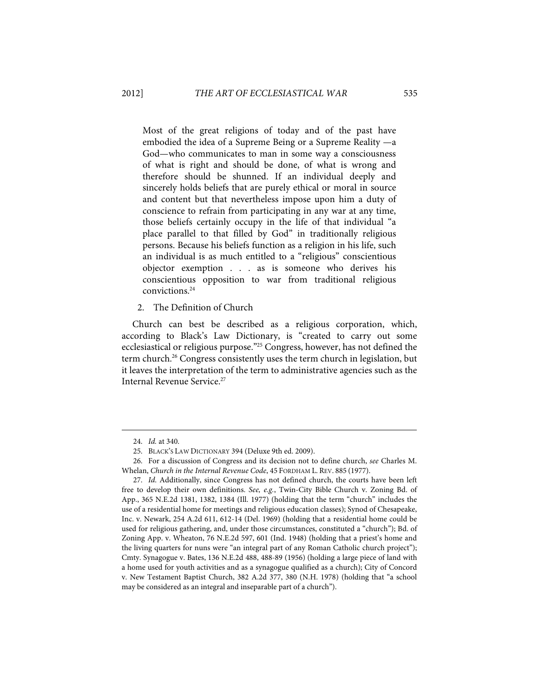Most of the great religions of today and of the past have embodied the idea of a Supreme Being or a Supreme Reality —a God—who communicates to man in some way a consciousness of what is right and should be done, of what is wrong and therefore should be shunned. If an individual deeply and sincerely holds beliefs that are purely ethical or moral in source and content but that nevertheless impose upon him a duty of conscience to refrain from participating in any war at any time, those beliefs certainly occupy in the life of that individual "a place parallel to that filled by God" in traditionally religious persons. Because his beliefs function as a religion in his life, such an individual is as much entitled to a "religious" conscientious objector exemption . . . as is someone who derives his conscientious opposition to war from traditional religious convictions.24

#### 2. The Definition of Church

Church can best be described as a religious corporation, which, according to Black's Law Dictionary, is "created to carry out some ecclesiastical or religious purpose."25 Congress, however, has not defined the term church.<sup>26</sup> Congress consistently uses the term church in legislation, but it leaves the interpretation of the term to administrative agencies such as the Internal Revenue Service.<sup>27</sup>

 <sup>24.</sup> Id. at 340.

 <sup>25.</sup> BLACK'S LAW DICTIONARY 394 (Deluxe 9th ed. 2009).

 <sup>26.</sup> For a discussion of Congress and its decision not to define church, see Charles M. Whelan, Church in the Internal Revenue Code, 45 FORDHAM L. REV. 885 (1977).

 <sup>27.</sup> Id. Additionally, since Congress has not defined church, the courts have been left free to develop their own definitions. See, e.g., Twin-City Bible Church v. Zoning Bd. of App., 365 N.E.2d 1381, 1382, 1384 (Ill. 1977) (holding that the term "church" includes the use of a residential home for meetings and religious education classes); Synod of Chesapeake, Inc. v. Newark, 254 A.2d 611, 612-14 (Del. 1969) (holding that a residential home could be used for religious gathering, and, under those circumstances, constituted a "church"); Bd. of Zoning App. v. Wheaton, 76 N.E.2d 597, 601 (Ind. 1948) (holding that a priest's home and the living quarters for nuns were "an integral part of any Roman Catholic church project"); Cmty. Synagogue v. Bates, 136 N.E.2d 488, 488-89 (1956) (holding a large piece of land with a home used for youth activities and as a synagogue qualified as a church); City of Concord v. New Testament Baptist Church, 382 A.2d 377, 380 (N.H. 1978) (holding that "a school may be considered as an integral and inseparable part of a church").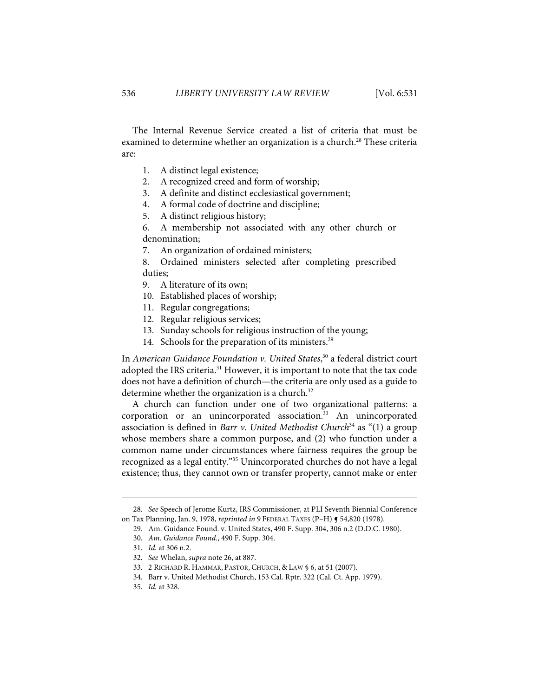The Internal Revenue Service created a list of criteria that must be examined to determine whether an organization is a church.<sup>28</sup> These criteria are:

- 1. A distinct legal existence;
- 2. A recognized creed and form of worship;
- 3. A definite and distinct ecclesiastical government;
- 4. A formal code of doctrine and discipline;
- 5. A distinct religious history;

6. A membership not associated with any other church or denomination;

7. An organization of ordained ministers;

8. Ordained ministers selected after completing prescribed duties;

- 9. A literature of its own;
- 10. Established places of worship;
- 11. Regular congregations;
- 12. Regular religious services;
- 13. Sunday schools for religious instruction of the young;
- 14. Schools for the preparation of its ministers.<sup>29</sup>

In American Guidance Foundation v. United States,<sup>30</sup> a federal district court adopted the IRS criteria.<sup>31</sup> However, it is important to note that the tax code does not have a definition of church—the criteria are only used as a guide to determine whether the organization is a church.<sup>32</sup>

A church can function under one of two organizational patterns: a corporation or an unincorporated association.<sup>33</sup> An unincorporated association is defined in Barr v. United Methodist Church<sup>34</sup> as "(1) a group whose members share a common purpose, and (2) who function under a common name under circumstances where fairness requires the group be recognized as a legal entity."35 Unincorporated churches do not have a legal existence; thus, they cannot own or transfer property, cannot make or enter

 <sup>28.</sup> See Speech of Jerome Kurtz, IRS Commissioner, at PLI Seventh Biennial Conference on Tax Planning, Jan. 9, 1978, reprinted in 9 FEDERAL TAXES (P-H) § 54,820 (1978).

 <sup>29.</sup> Am. Guidance Found. v. United States, 490 F. Supp. 304, 306 n.2 (D.D.C. 1980).

 <sup>30.</sup> Am. Guidance Found., 490 F. Supp. 304.

 <sup>31.</sup> Id. at 306 n.2.

 <sup>32.</sup> See Whelan, supra note 26, at 887.

 <sup>33. 2</sup> RICHARD R. HAMMAR, PASTOR, CHURCH, & LAW § 6, at 51 (2007).

 <sup>34.</sup> Barr v. United Methodist Church, 153 Cal. Rptr. 322 (Cal. Ct. App. 1979).

 <sup>35.</sup> Id. at 328.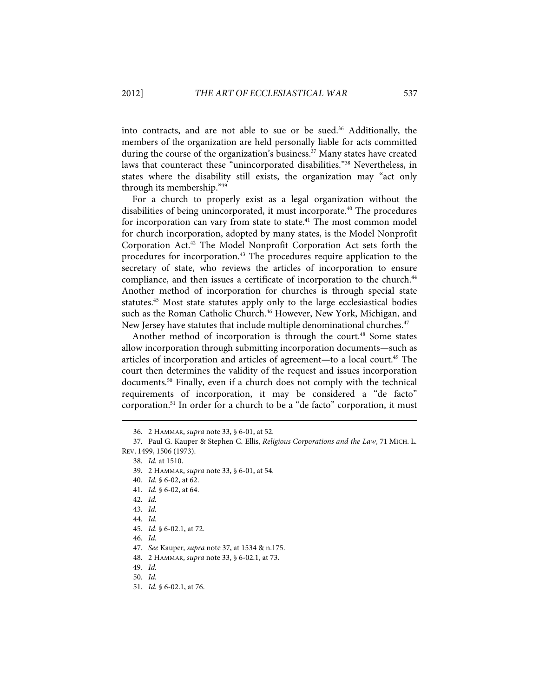into contracts, and are not able to sue or be sued.<sup>36</sup> Additionally, the members of the organization are held personally liable for acts committed during the course of the organization's business.<sup>37</sup> Many states have created laws that counteract these "unincorporated disabilities."38 Nevertheless, in states where the disability still exists, the organization may "act only through its membership."39

For a church to properly exist as a legal organization without the disabilities of being unincorporated, it must incorporate.<sup>40</sup> The procedures for incorporation can vary from state to state.<sup>41</sup> The most common model for church incorporation, adopted by many states, is the Model Nonprofit Corporation Act.42 The Model Nonprofit Corporation Act sets forth the procedures for incorporation.<sup>43</sup> The procedures require application to the secretary of state, who reviews the articles of incorporation to ensure compliance, and then issues a certificate of incorporation to the church.<sup>44</sup> Another method of incorporation for churches is through special state statutes.45 Most state statutes apply only to the large ecclesiastical bodies such as the Roman Catholic Church.<sup>46</sup> However, New York, Michigan, and New Jersey have statutes that include multiple denominational churches.<sup>47</sup>

Another method of incorporation is through the court.<sup>48</sup> Some states allow incorporation through submitting incorporation documents—such as articles of incorporation and articles of agreement—to a local court.<sup>49</sup> The court then determines the validity of the request and issues incorporation documents.<sup>50</sup> Finally, even if a church does not comply with the technical requirements of incorporation, it may be considered a "de facto" corporation.51 In order for a church to be a "de facto" corporation, it must

- 40. Id. § 6-02, at 62.
- 41. Id. § 6-02, at 64.
- 42. Id.

- 43. Id.
- 44. Id.
- 45. Id. § 6-02.1, at 72.
- 46. Id.
- 47. See Kauper, supra note 37, at 1534 & n.175.
- 48. 2 HAMMAR, supra note 33, § 6-02.1, at 73.
- 49. Id.
- 50. Id.
- 51. Id. § 6-02.1, at 76.

 <sup>36. 2</sup> HAMMAR, supra note 33, § 6-01, at 52.

 <sup>37.</sup> Paul G. Kauper & Stephen C. Ellis, Religious Corporations and the Law, 71 MICH. L. REV. 1499, 1506 (1973).

 <sup>38.</sup> Id. at 1510.

 <sup>39. 2</sup> HAMMAR, supra note 33, § 6-01, at 54.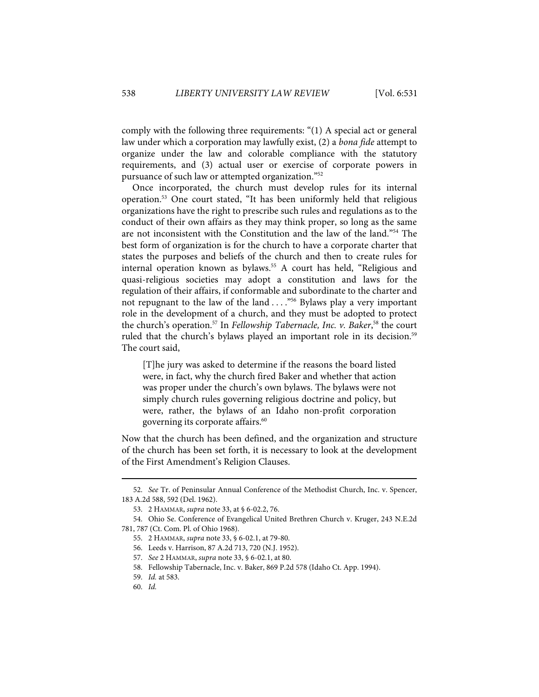comply with the following three requirements: "(1) A special act or general law under which a corporation may lawfully exist, (2) a bona fide attempt to organize under the law and colorable compliance with the statutory requirements, and (3) actual user or exercise of corporate powers in pursuance of such law or attempted organization."52

Once incorporated, the church must develop rules for its internal operation.53 One court stated, "It has been uniformly held that religious organizations have the right to prescribe such rules and regulations as to the conduct of their own affairs as they may think proper, so long as the same are not inconsistent with the Constitution and the law of the land."54 The best form of organization is for the church to have a corporate charter that states the purposes and beliefs of the church and then to create rules for internal operation known as bylaws.<sup>55</sup> A court has held, "Religious and quasi-religious societies may adopt a constitution and laws for the regulation of their affairs, if conformable and subordinate to the charter and not repugnant to the law of the land  $\dots$ ."<sup>56</sup> Bylaws play a very important role in the development of a church, and they must be adopted to protect the church's operation.<sup>57</sup> In Fellowship Tabernacle, Inc. v. Baker,<sup>58</sup> the court ruled that the church's bylaws played an important role in its decision.<sup>59</sup> The court said,

[T]he jury was asked to determine if the reasons the board listed were, in fact, why the church fired Baker and whether that action was proper under the church's own bylaws. The bylaws were not simply church rules governing religious doctrine and policy, but were, rather, the bylaws of an Idaho non-profit corporation governing its corporate affairs.<sup>60</sup>

Now that the church has been defined, and the organization and structure of the church has been set forth, it is necessary to look at the development of the First Amendment's Religion Clauses.

 <sup>52.</sup> See Tr. of Peninsular Annual Conference of the Methodist Church, Inc. v. Spencer, 183 A.2d 588, 592 (Del. 1962).

 <sup>53. 2</sup> HAMMAR, supra note 33, at § 6-02.2, 76.

 <sup>54.</sup> Ohio Se. Conference of Evangelical United Brethren Church v. Kruger, 243 N.E.2d 781, 787 (Ct. Com. Pl. of Ohio 1968).

 <sup>55. 2</sup> HAMMAR, supra note 33, § 6-02.1, at 79-80.

 <sup>56.</sup> Leeds v. Harrison, 87 A.2d 713, 720 (N.J. 1952).

 <sup>57.</sup> See 2 HAMMAR, supra note 33, § 6-02.1, at 80.

 <sup>58.</sup> Fellowship Tabernacle, Inc. v. Baker, 869 P.2d 578 (Idaho Ct. App. 1994).

 <sup>59.</sup> Id. at 583.

 <sup>60.</sup> Id.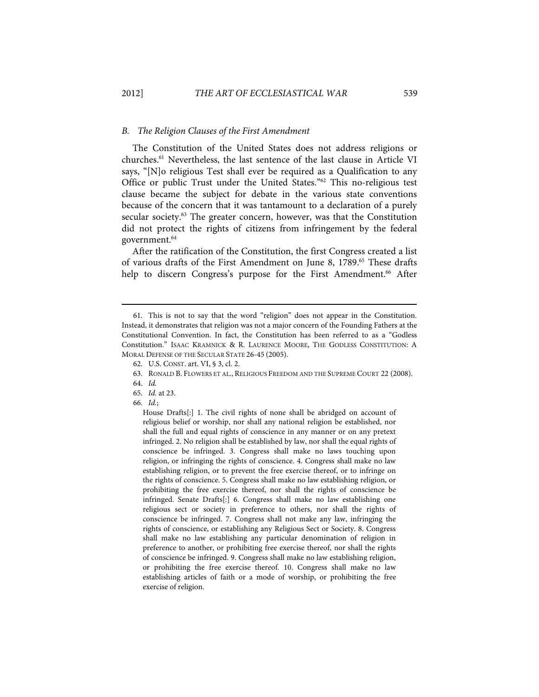### B. The Religion Clauses of the First Amendment

The Constitution of the United States does not address religions or churches.61 Nevertheless, the last sentence of the last clause in Article VI says, "[N]o religious Test shall ever be required as a Qualification to any Office or public Trust under the United States."62 This no-religious test clause became the subject for debate in the various state conventions because of the concern that it was tantamount to a declaration of a purely secular society.<sup>63</sup> The greater concern, however, was that the Constitution did not protect the rights of citizens from infringement by the federal government.<sup>64</sup>

After the ratification of the Constitution, the first Congress created a list of various drafts of the First Amendment on June 8, 1789.<sup>65</sup> These drafts help to discern Congress's purpose for the First Amendment.<sup>66</sup> After

j

House Drafts[:] 1. The civil rights of none shall be abridged on account of religious belief or worship, nor shall any national religion be established, nor shall the full and equal rights of conscience in any manner or on any pretext infringed. 2. No religion shall be established by law, nor shall the equal rights of conscience be infringed. 3. Congress shall make no laws touching upon religion, or infringing the rights of conscience. 4. Congress shall make no law establishing religion, or to prevent the free exercise thereof, or to infringe on the rights of conscience. 5. Congress shall make no law establishing religion, or prohibiting the free exercise thereof, nor shall the rights of conscience be infringed. Senate Drafts[:] 6. Congress shall make no law establishing one religious sect or society in preference to others, nor shall the rights of conscience be infringed. 7. Congress shall not make any law, infringing the rights of conscience, or establishing any Religious Sect or Society. 8. Congress shall make no law establishing any particular denomination of religion in preference to another, or prohibiting free exercise thereof, nor shall the rights of conscience be infringed. 9. Congress shall make no law establishing religion, or prohibiting the free exercise thereof. 10. Congress shall make no law establishing articles of faith or a mode of worship, or prohibiting the free exercise of religion.

 <sup>61.</sup> This is not to say that the word "religion" does not appear in the Constitution. Instead, it demonstrates that religion was not a major concern of the Founding Fathers at the Constitutional Convention. In fact, the Constitution has been referred to as a "Godless Constitution." ISAAC KRAMNICK & R. LAURENCE MOORE, THE GODLESS CONSTITUTION: A MORAL DEFENSE OF THE SECULAR STATE 26-45 (2005).

 <sup>62.</sup> U.S. CONST. art. VI, § 3, cl. 2.

 <sup>63.</sup> RONALD B. FLOWERS ET AL., RELIGIOUS FREEDOM AND THE SUPREME COURT 22 (2008).

 <sup>64.</sup> Id.

 <sup>65.</sup> Id. at 23.

 <sup>66.</sup> Id.;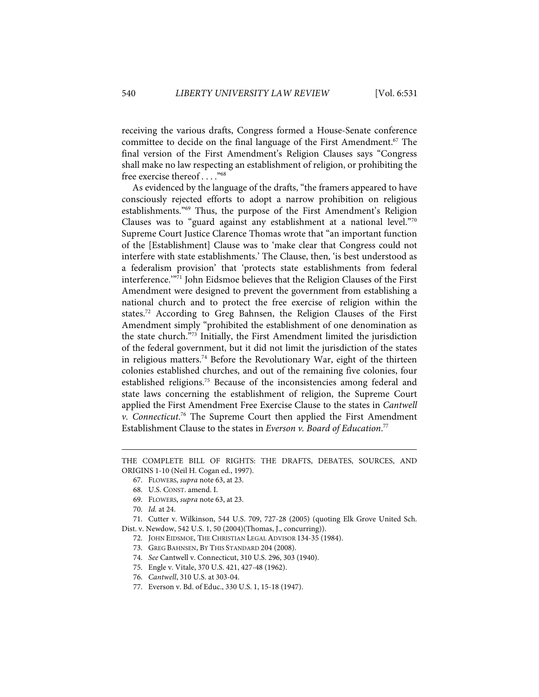receiving the various drafts, Congress formed a House-Senate conference committee to decide on the final language of the First Amendment.67 The final version of the First Amendment's Religion Clauses says "Congress shall make no law respecting an establishment of religion, or prohibiting the free exercise thereof . . . ."68

As evidenced by the language of the drafts, "the framers appeared to have consciously rejected efforts to adopt a narrow prohibition on religious establishments."69 Thus, the purpose of the First Amendment's Religion Clauses was to "guard against any establishment at a national level."70 Supreme Court Justice Clarence Thomas wrote that "an important function of the [Establishment] Clause was to 'make clear that Congress could not interfere with state establishments.' The Clause, then, 'is best understood as a federalism provision' that 'protects state establishments from federal interference.'"71 John Eidsmoe believes that the Religion Clauses of the First Amendment were designed to prevent the government from establishing a national church and to protect the free exercise of religion within the states.<sup>72</sup> According to Greg Bahnsen, the Religion Clauses of the First Amendment simply "prohibited the establishment of one denomination as the state church."73 Initially, the First Amendment limited the jurisdiction of the federal government, but it did not limit the jurisdiction of the states in religious matters.<sup>74</sup> Before the Revolutionary War, eight of the thirteen colonies established churches, and out of the remaining five colonies, four established religions.75 Because of the inconsistencies among federal and state laws concerning the establishment of religion, the Supreme Court applied the First Amendment Free Exercise Clause to the states in Cantwell v. Connecticut.<sup>76</sup> The Supreme Court then applied the First Amendment Establishment Clause to the states in Everson v. Board of Education.<sup>77</sup>

- 69. FLOWERS, supra note 63, at 23.
- 70. Id. at 24.

- 71. Cutter v. Wilkinson, 544 U.S. 709, 727-28 (2005) (quoting Elk Grove United Sch.
- Dist. v. Newdow, 542 U.S. 1, 50 (2004)(Thomas, J., concurring)).
	- 72. JOHN EIDSMOE, THE CHRISTIAN LEGAL ADVISOR 134-35 (1984).
	- 73. GREG BAHNSEN, BY THIS STANDARD 204 (2008).
	- 74. See Cantwell v. Connecticut, 310 U.S. 296, 303 (1940).
	- 75. Engle v. Vitale, 370 U.S. 421, 427-48 (1962).
	- 76. Cantwell, 310 U.S. at 303-04.
	- 77. Everson v. Bd. of Educ., 330 U.S. 1, 15-18 (1947).

THE COMPLETE BILL OF RIGHTS: THE DRAFTS, DEBATES, SOURCES, AND ORIGINS 1-10 (Neil H. Cogan ed., 1997).

 <sup>67.</sup> FLOWERS, supra note 63, at 23.

 <sup>68.</sup> U.S. CONST. amend. I.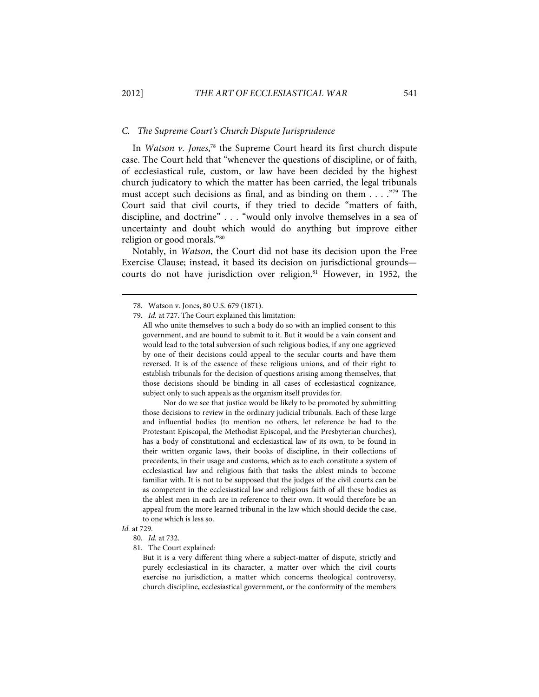### C. The Supreme Court's Church Dispute Jurisprudence

In Watson v. Jones,<sup>78</sup> the Supreme Court heard its first church dispute case. The Court held that "whenever the questions of discipline, or of faith, of ecclesiastical rule, custom, or law have been decided by the highest church judicatory to which the matter has been carried, the legal tribunals must accept such decisions as final, and as binding on them . . . ."79 The Court said that civil courts, if they tried to decide "matters of faith, discipline, and doctrine" . . . "would only involve themselves in a sea of uncertainty and doubt which would do anything but improve either religion or good morals."80

Notably, in Watson, the Court did not base its decision upon the Free Exercise Clause; instead, it based its decision on jurisdictional grounds courts do not have jurisdiction over religion.<sup>81</sup> However, in 1952, the

Nor do we see that justice would be likely to be promoted by submitting those decisions to review in the ordinary judicial tribunals. Each of these large and influential bodies (to mention no others, let reference be had to the Protestant Episcopal, the Methodist Episcopal, and the Presbyterian churches), has a body of constitutional and ecclesiastical law of its own, to be found in their written organic laws, their books of discipline, in their collections of precedents, in their usage and customs, which as to each constitute a system of ecclesiastical law and religious faith that tasks the ablest minds to become familiar with. It is not to be supposed that the judges of the civil courts can be as competent in the ecclesiastical law and religious faith of all these bodies as the ablest men in each are in reference to their own. It would therefore be an appeal from the more learned tribunal in the law which should decide the case, to one which is less so.

# Id. at 729.

1

81. The Court explained:

But it is a very different thing where a subject-matter of dispute, strictly and purely ecclesiastical in its character, a matter over which the civil courts exercise no jurisdiction, a matter which concerns theological controversy, church discipline, ecclesiastical government, or the conformity of the members

 <sup>78.</sup> Watson v. Jones, 80 U.S. 679 (1871).

 <sup>79.</sup> Id. at 727. The Court explained this limitation:

All who unite themselves to such a body do so with an implied consent to this government, and are bound to submit to it. But it would be a vain consent and would lead to the total subversion of such religious bodies, if any one aggrieved by one of their decisions could appeal to the secular courts and have them reversed. It is of the essence of these religious unions, and of their right to establish tribunals for the decision of questions arising among themselves, that those decisions should be binding in all cases of ecclesiastical cognizance, subject only to such appeals as the organism itself provides for.

 <sup>80.</sup> Id. at 732.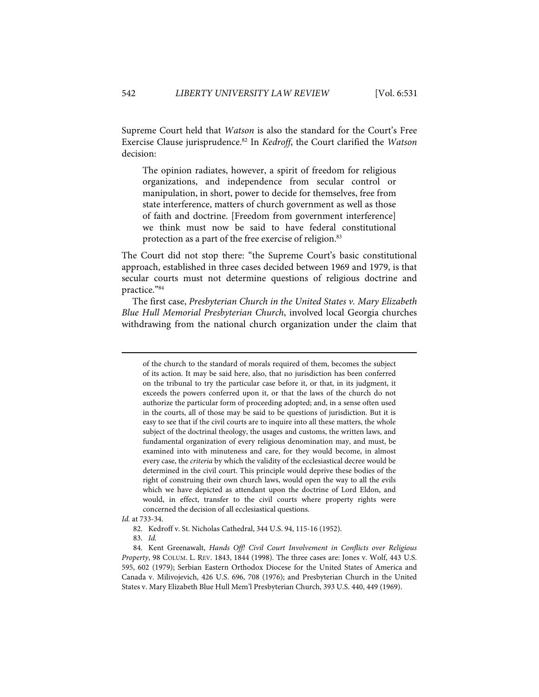Supreme Court held that Watson is also the standard for the Court's Free Exercise Clause jurisprudence.<sup>82</sup> In *Kedroff*, the Court clarified the *Watson* decision:

The opinion radiates, however, a spirit of freedom for religious organizations, and independence from secular control or manipulation, in short, power to decide for themselves, free from state interference, matters of church government as well as those of faith and doctrine. [Freedom from government interference] we think must now be said to have federal constitutional protection as a part of the free exercise of religion.<sup>83</sup>

The Court did not stop there: "the Supreme Court's basic constitutional approach, established in three cases decided between 1969 and 1979, is that secular courts must not determine questions of religious doctrine and practice."84

The first case, Presbyterian Church in the United States v. Mary Elizabeth Blue Hull Memorial Presbyterian Church, involved local Georgia churches withdrawing from the national church organization under the claim that

Id. at 733-34.

of the church to the standard of morals required of them, becomes the subject of its action. It may be said here, also, that no jurisdiction has been conferred on the tribunal to try the particular case before it, or that, in its judgment, it exceeds the powers conferred upon it, or that the laws of the church do not authorize the particular form of proceeding adopted; and, in a sense often used in the courts, all of those may be said to be questions of jurisdiction. But it is easy to see that if the civil courts are to inquire into all these matters, the whole subject of the doctrinal theology, the usages and customs, the written laws, and fundamental organization of every religious denomination may, and must, be examined into with minuteness and care, for they would become, in almost every case, the criteria by which the validity of the ecclesiastical decree would be determined in the civil court. This principle would deprive these bodies of the right of construing their own church laws, would open the way to all the evils which we have depicted as attendant upon the doctrine of Lord Eldon, and would, in effect, transfer to the civil courts where property rights were concerned the decision of all ecclesiastical questions.

 <sup>82.</sup> Kedroff v. St. Nicholas Cathedral, 344 U.S. 94, 115-16 (1952).

 <sup>83.</sup> Id.

 <sup>84.</sup> Kent Greenawalt, Hands Off! Civil Court Involvement in Conflicts over Religious Property, 98 COLUM. L. REV. 1843, 1844 (1998). The three cases are: Jones v. Wolf, 443 U.S. 595, 602 (1979); Serbian Eastern Orthodox Diocese for the United States of America and Canada v. Milivojevich, 426 U.S. 696, 708 (1976); and Presbyterian Church in the United States v. Mary Elizabeth Blue Hull Mem'l Presbyterian Church, 393 U.S. 440, 449 (1969).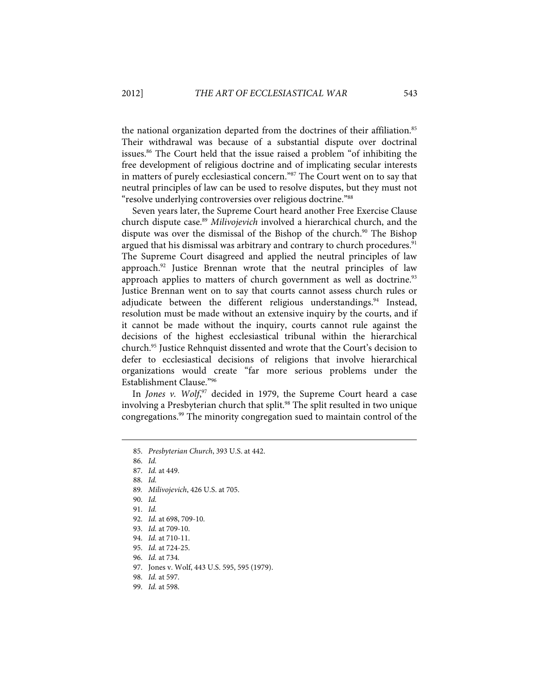the national organization departed from the doctrines of their affiliation.<sup>85</sup> Their withdrawal was because of a substantial dispute over doctrinal issues.86 The Court held that the issue raised a problem "of inhibiting the free development of religious doctrine and of implicating secular interests in matters of purely ecclesiastical concern."87 The Court went on to say that neutral principles of law can be used to resolve disputes, but they must not "resolve underlying controversies over religious doctrine."88

Seven years later, the Supreme Court heard another Free Exercise Clause church dispute case.<sup>89</sup> Milivojevich involved a hierarchical church, and the dispute was over the dismissal of the Bishop of the church.<sup>90</sup> The Bishop argued that his dismissal was arbitrary and contrary to church procedures.<sup>91</sup> The Supreme Court disagreed and applied the neutral principles of law approach.<sup>92</sup> Justice Brennan wrote that the neutral principles of law approach applies to matters of church government as well as doctrine.<sup>93</sup> Justice Brennan went on to say that courts cannot assess church rules or adjudicate between the different religious understandings.<sup>94</sup> Instead, resolution must be made without an extensive inquiry by the courts, and if it cannot be made without the inquiry, courts cannot rule against the decisions of the highest ecclesiastical tribunal within the hierarchical church.95 Justice Rehnquist dissented and wrote that the Court's decision to defer to ecclesiastical decisions of religions that involve hierarchical organizations would create "far more serious problems under the Establishment Clause."96

In Jones v. Wolf, $97$  decided in 1979, the Supreme Court heard a case involving a Presbyterian church that split.<sup>98</sup> The split resulted in two unique congregations.99 The minority congregation sued to maintain control of the

1

88. Id.

91. Id.

 <sup>85.</sup> Presbyterian Church, 393 U.S. at 442.

 <sup>86.</sup> Id.

 <sup>87.</sup> Id. at 449.

<sup>89</sup>. Milivojevich, 426 U.S. at 705.

 <sup>90.</sup> Id.

 <sup>92.</sup> Id. at 698, 709-10.

 <sup>93.</sup> Id. at 709-10.

 <sup>94.</sup> Id. at 710-11.

 <sup>95.</sup> Id. at 724-25.

 <sup>96.</sup> Id. at 734.

 <sup>97.</sup> Jones v. Wolf, 443 U.S. 595, 595 (1979).

 <sup>98.</sup> Id. at 597.

 <sup>99.</sup> Id. at 598.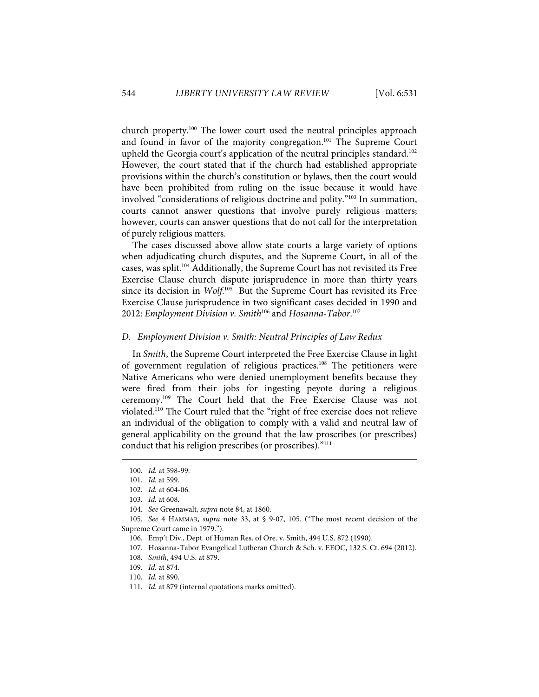church property.100 The lower court used the neutral principles approach and found in favor of the majority congregation.<sup>101</sup> The Supreme Court upheld the Georgia court's application of the neutral principles standard.<sup>102</sup> However, the court stated that if the church had established appropriate provisions within the church's constitution or bylaws, then the court would have been prohibited from ruling on the issue because it would have involved "considerations of religious doctrine and polity."103 In summation, courts cannot answer questions that involve purely religious matters; however, courts can answer questions that do not call for the interpretation of purely religious matters.

The cases discussed above allow state courts a large variety of options when adjudicating church disputes, and the Supreme Court, in all of the cases, was split.104 Additionally, the Supreme Court has not revisited its Free Exercise Clause church dispute jurisprudence in more than thirty years since its decision in  $Wolf^{105}$  But the Supreme Court has revisited its Free Exercise Clause jurisprudence in two significant cases decided in 1990 and 2012: Employment Division v. Smith<sup>106</sup> and Hosanna-Tabor.<sup>107</sup>

#### D. Employment Division v. Smith: Neutral Principles of Law Redux

In Smith, the Supreme Court interpreted the Free Exercise Clause in light of government regulation of religious practices.<sup>108</sup> The petitioners were Native Americans who were denied unemployment benefits because they were fired from their jobs for ingesting peyote during a religious ceremony.109 The Court held that the Free Exercise Clause was not violated.110 The Court ruled that the "right of free exercise does not relieve an individual of the obligation to comply with a valid and neutral law of general applicability on the ground that the law proscribes (or prescribes) conduct that his religion prescribes (or proscribes)."<sup>111</sup>

 <sup>100.</sup> Id. at 598-99.

 <sup>101.</sup> Id. at 599.

 <sup>102.</sup> Id. at 604-06.

 <sup>103.</sup> Id. at 608.

 <sup>104.</sup> See Greenawalt, supra note 84, at 1860.

 <sup>105.</sup> See 4 HAMMAR, supra note 33, at § 9-07, 105. ("The most recent decision of the Supreme Court came in 1979.").

 <sup>106.</sup> Emp't Div., Dept. of Human Res. of Ore. v. Smith, 494 U.S. 872 (1990).

 <sup>107.</sup> Hosanna-Tabor Evangelical Lutheran Church & Sch. v. EEOC, 132 S. Ct. 694 (2012).

 <sup>108.</sup> Smith, 494 U.S. at 879.

 <sup>109.</sup> Id. at 874.

 <sup>110.</sup> Id. at 890.

 <sup>111.</sup> Id. at 879 (internal quotations marks omitted).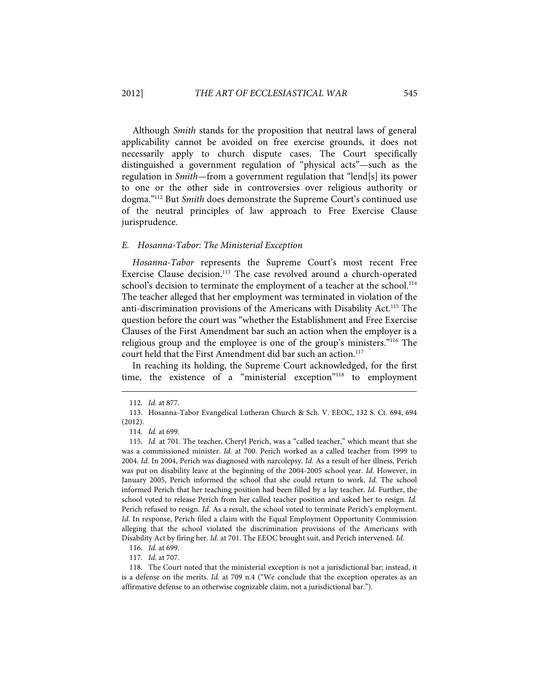Although Smith stands for the proposition that neutral laws of general applicability cannot be avoided on free exercise grounds, it does not necessarily apply to church dispute cases. The Court specifically distinguished a government regulation of "physical acts"—such as the regulation in Smith—from a government regulation that "lend[s] its power to one or the other side in controversies over religious authority or dogma."112 But Smith does demonstrate the Supreme Court's continued use of the neutral principles of law approach to Free Exercise Clause jurisprudence.

#### E. Hosanna-Tabor: The Ministerial Exception

Hosanna-Tabor represents the Supreme Court's most recent Free Exercise Clause decision.<sup>113</sup> The case revolved around a church-operated school's decision to terminate the employment of a teacher at the school.<sup>114</sup> The teacher alleged that her employment was terminated in violation of the anti-discrimination provisions of the Americans with Disability Act.115 The question before the court was "whether the Establishment and Free Exercise Clauses of the First Amendment bar such an action when the employer is a religious group and the employee is one of the group's ministers."116 The court held that the First Amendment did bar such an action.<sup>117</sup>

In reaching its holding, the Supreme Court acknowledged, for the first time, the existence of a "ministerial exception"118 to employment

 <sup>112.</sup> Id. at 877.

 <sup>113.</sup> Hosanna-Tabor Evangelical Lutheran Church & Sch. V. EEOC, 132 S. Ct. 694, 694 (2012).

 <sup>114.</sup> Id. at 699.

 <sup>115.</sup> Id. at 701. The teacher, Cheryl Perich, was a "called teacher," which meant that she was a commissioned minister. Id. at 700. Perich worked as a called teacher from 1999 to 2004. Id. In 2004, Perich was diagnosed with narcolepsy. Id. As a result of her illness, Perich was put on disability leave at the beginning of the 2004-2005 school year. Id. However, in January 2005, Perich informed the school that she could return to work. Id. The school informed Perich that her teaching position had been filled by a lay teacher. Id. Further, the school voted to release Perich from her called teacher position and asked her to resign. Id. Perich refused to resign. Id. As a result, the school voted to terminate Perich's employment. Id. In response, Perich filed a claim with the Equal Employment Opportunity Commission alleging that the school violated the discrimination provisions of the Americans with Disability Act by firing her. Id. at 701. The EEOC brought suit, and Perich intervened. Id.

 <sup>116.</sup> Id. at 699.

 <sup>117.</sup> Id. at 707.

 <sup>118.</sup> The Court noted that the ministerial exception is not a jurisdictional bar; instead, it is a defense on the merits. Id. at 709 n.4 ("We conclude that the exception operates as an affirmative defense to an otherwise cognizable claim, not a jurisdictional bar.").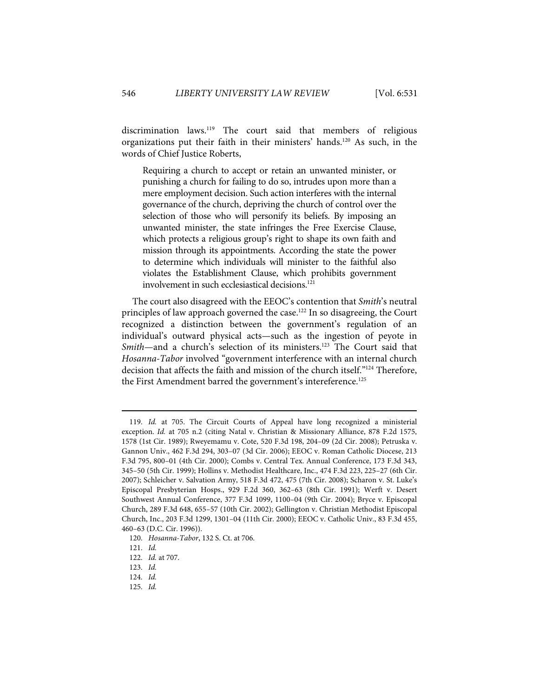discrimination laws.119 The court said that members of religious organizations put their faith in their ministers' hands.120 As such, in the words of Chief Justice Roberts,

Requiring a church to accept or retain an unwanted minister, or punishing a church for failing to do so, intrudes upon more than a mere employment decision. Such action interferes with the internal governance of the church, depriving the church of control over the selection of those who will personify its beliefs. By imposing an unwanted minister, the state infringes the Free Exercise Clause, which protects a religious group's right to shape its own faith and mission through its appointments. According the state the power to determine which individuals will minister to the faithful also violates the Establishment Clause, which prohibits government involvement in such ecclesiastical decisions.<sup>121</sup>

The court also disagreed with the EEOC's contention that Smith's neutral principles of law approach governed the case.122 In so disagreeing, the Court recognized a distinction between the government's regulation of an individual's outward physical acts—such as the ingestion of peyote in Smith—and a church's selection of its ministers.<sup>123</sup> The Court said that Hosanna-Tabor involved "government interference with an internal church decision that affects the faith and mission of the church itself."124 Therefore, the First Amendment barred the government's intereference.<sup>125</sup>

 <sup>119.</sup> Id. at 705. The Circuit Courts of Appeal have long recognized a ministerial exception. Id. at 705 n.2 (citing Natal v. Christian & Missionary Alliance, 878 F.2d 1575, 1578 (1st Cir. 1989); Rweyemamu v. Cote, 520 F.3d 198, 204–09 (2d Cir. 2008); Petruska v. Gannon Univ., 462 F.3d 294, 303–07 (3d Cir. 2006); EEOC v. Roman Catholic Diocese, 213 F.3d 795, 800–01 (4th Cir. 2000); Combs v. Central Tex. Annual Conference, 173 F.3d 343, 345–50 (5th Cir. 1999); Hollins v. Methodist Healthcare, Inc., 474 F.3d 223, 225–27 (6th Cir. 2007); Schleicher v. Salvation Army, 518 F.3d 472, 475 (7th Cir. 2008); Scharon v. St. Luke's Episcopal Presbyterian Hosps., 929 F.2d 360, 362–63 (8th Cir. 1991); Werft v. Desert Southwest Annual Conference, 377 F.3d 1099, 1100–04 (9th Cir. 2004); Bryce v. Episcopal Church, 289 F.3d 648, 655–57 (10th Cir. 2002); Gellington v. Christian Methodist Episcopal Church, Inc., 203 F.3d 1299, 1301–04 (11th Cir. 2000); EEOC v. Catholic Univ., 83 F.3d 455, 460–63 (D.C. Cir. 1996)).

 <sup>120.</sup> Hosanna-Tabor, 132 S. Ct. at 706.

 <sup>121.</sup> Id.

 <sup>122.</sup> Id. at 707.

 <sup>123.</sup> Id.

 <sup>124.</sup> Id.

 <sup>125.</sup> Id.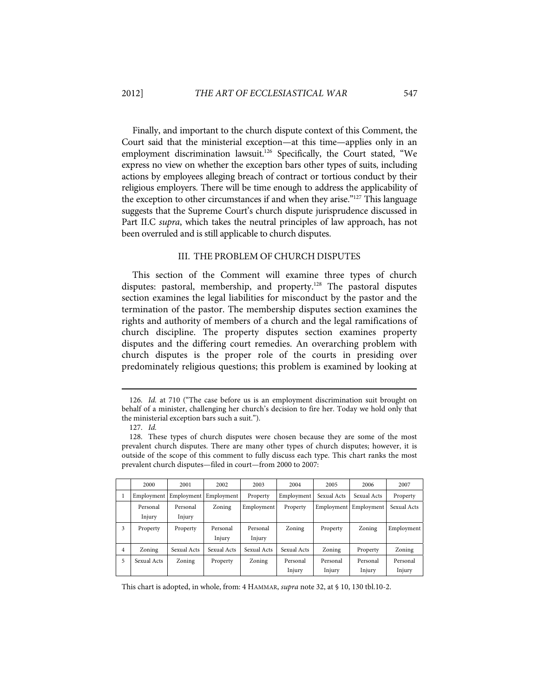Finally, and important to the church dispute context of this Comment, the Court said that the ministerial exception—at this time—applies only in an employment discrimination lawsuit.<sup>126</sup> Specifically, the Court stated, "We express no view on whether the exception bars other types of suits, including actions by employees alleging breach of contract or tortious conduct by their religious employers. There will be time enough to address the applicability of the exception to other circumstances if and when they arise."<sup>127</sup> This language suggests that the Supreme Court's church dispute jurisprudence discussed in Part II.C supra, which takes the neutral principles of law approach, has not been overruled and is still applicable to church disputes.

### III. THE PROBLEM OF CHURCH DISPUTES

This section of the Comment will examine three types of church disputes: pastoral, membership, and property.<sup>128</sup> The pastoral disputes section examines the legal liabilities for misconduct by the pastor and the termination of the pastor. The membership disputes section examines the rights and authority of members of a church and the legal ramifications of church discipline. The property disputes section examines property disputes and the differing court remedies. An overarching problem with church disputes is the proper role of the courts in presiding over predominately religious questions; this problem is examined by looking at

1

 <sup>128.</sup> These types of church disputes were chosen because they are some of the most prevalent church disputes. There are many other types of church disputes; however, it is outside of the scope of this comment to fully discuss each type. This chart ranks the most prevalent church disputes—filed in court—from 2000 to 2007:

|   | 2000        | 2001        | 2002                  | 2003        | 2004        | 2005        | 2006        | 2007        |
|---|-------------|-------------|-----------------------|-------------|-------------|-------------|-------------|-------------|
|   | Employment  |             | Employment Employment | Property    | Employment  | Sexual Acts | Sexual Acts | Property    |
|   | Personal    | Personal    | Zoning                | Employment  | Property    | Employment  | Employment  | Sexual Acts |
|   | Injury      | Injury      |                       |             |             |             |             |             |
| 3 | Property    | Property    | Personal              | Personal    | Zoning      | Property    | Zoning      | Employment  |
|   |             |             | Injury                | Injury      |             |             |             |             |
| 4 | Zoning      | Sexual Acts | Sexual Acts           | Sexual Acts | Sexual Acts | Zoning      | Property    | Zoning      |
| 5 | Sexual Acts | Zoning      | Property              | Zoning      | Personal    | Personal    | Personal    | Personal    |
|   |             |             |                       |             | Injury      | Injury      | Injury      | Injury      |

This chart is adopted, in whole, from: 4 HAMMAR, supra note 32, at § 10, 130 tbl.10-2.

 <sup>126.</sup> Id. at 710 ("The case before us is an employment discrimination suit brought on behalf of a minister, challenging her church's decision to fire her. Today we hold only that the ministerial exception bars such a suit.").

 <sup>127.</sup> Id.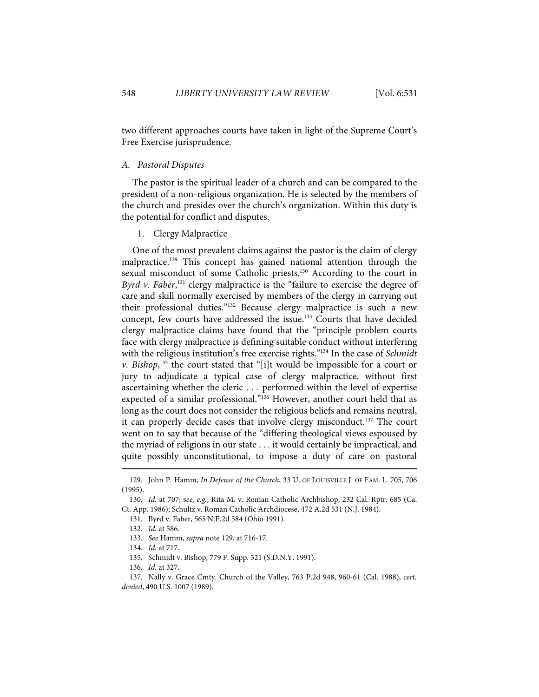two different approaches courts have taken in light of the Supreme Court's Free Exercise jurisprudence.

### A. Pastoral Disputes

The pastor is the spiritual leader of a church and can be compared to the president of a non-religious organization. He is selected by the members of the church and presides over the church's organization. Within this duty is the potential for conflict and disputes.

1. Clergy Malpractice

One of the most prevalent claims against the pastor is the claim of clergy malpractice.<sup>129</sup> This concept has gained national attention through the sexual misconduct of some Catholic priests.<sup>130</sup> According to the court in Byrd v. Faber,<sup>131</sup> clergy malpractice is the "failure to exercise the degree of care and skill normally exercised by members of the clergy in carrying out their professional duties."132 Because clergy malpractice is such a new concept, few courts have addressed the issue.<sup>133</sup> Courts that have decided clergy malpractice claims have found that the "principle problem courts face with clergy malpractice is defining suitable conduct without interfering with the religious institution's free exercise rights."<sup>134</sup> In the case of Schmidt v. Bishop,<sup>135</sup> the court stated that "[i]t would be impossible for a court or jury to adjudicate a typical case of clergy malpractice, without first ascertaining whether the cleric . . . performed within the level of expertise expected of a similar professional."136 However, another court held that as long as the court does not consider the religious beliefs and remains neutral, it can properly decide cases that involve clergy misconduct.137 The court went on to say that because of the "differing theological views espoused by the myriad of religions in our state . . . it would certainly be impractical, and quite possibly unconstitutional, to impose a duty of care on pastoral

<sup>129.</sup> John P. Hamm, In Defense of the Church, 33 U. OF LOUISVILLE J. OF FAM. L. 705, 706 (1995).

 <sup>130.</sup> Id. at 707; see, e.g., Rita M. v. Roman Catholic Archbishop, 232 Cal. Rptr. 685 (Ca. Ct. App. 1986); Schultz v. Roman Catholic Archdiocese, 472 A.2d 531 (N.J. 1984).

 <sup>131.</sup> Byrd v. Faber, 565 N.E.2d 584 (Ohio 1991).

 <sup>132.</sup> Id. at 586.

 <sup>133.</sup> See Hamm, supra note 129, at 716-17.

 <sup>134.</sup> Id. at 717.

 <sup>135.</sup> Schmidt v. Bishop, 779 F. Supp. 321 (S.D.N.Y. 1991).

 <sup>136.</sup> Id. at 327.

 <sup>137.</sup> Nally v. Grace Cmty. Church of the Valley, 763 P.2d 948, 960-61 (Cal. 1988), cert. denied, 490 U.S. 1007 (1989).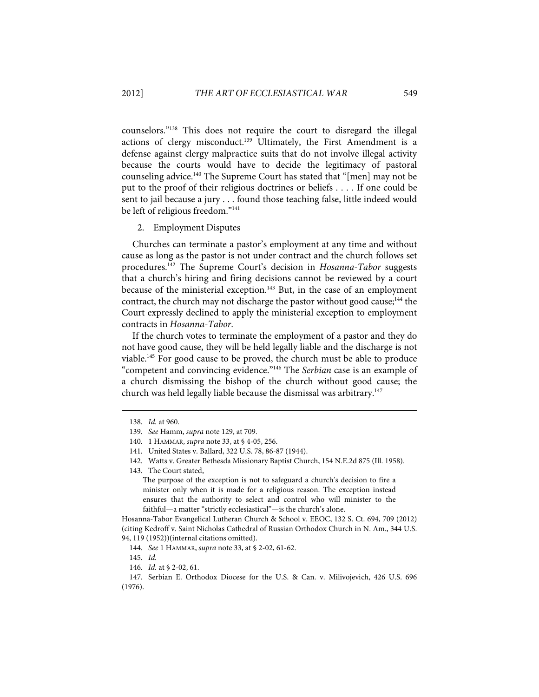counselors."138 This does not require the court to disregard the illegal actions of clergy misconduct.<sup>139</sup> Ultimately, the First Amendment is a defense against clergy malpractice suits that do not involve illegal activity because the courts would have to decide the legitimacy of pastoral counseling advice.140 The Supreme Court has stated that "[men] may not be put to the proof of their religious doctrines or beliefs . . . . If one could be sent to jail because a jury . . . found those teaching false, little indeed would be left of religious freedom."141

#### 2. Employment Disputes

Churches can terminate a pastor's employment at any time and without cause as long as the pastor is not under contract and the church follows set procedures.<sup>142</sup> The Supreme Court's decision in Hosanna-Tabor suggests that a church's hiring and firing decisions cannot be reviewed by a court because of the ministerial exception.<sup>143</sup> But, in the case of an employment contract, the church may not discharge the pastor without good cause; $^{144}$  the Court expressly declined to apply the ministerial exception to employment contracts in Hosanna-Tabor.

If the church votes to terminate the employment of a pastor and they do not have good cause, they will be held legally liable and the discharge is not viable.145 For good cause to be proved, the church must be able to produce "competent and convincing evidence."146 The Serbian case is an example of a church dismissing the bishop of the church without good cause; the church was held legally liable because the dismissal was arbitrary.<sup>147</sup>

1

143. The Court stated,

The purpose of the exception is not to safeguard a church's decision to fire a minister only when it is made for a religious reason. The exception instead ensures that the authority to select and control who will minister to the faithful—a matter "strictly ecclesiastical"—is the church's alone.

Hosanna-Tabor Evangelical Lutheran Church & School v. EEOC, 132 S. Ct. 694, 709 (2012) (citing Kedroff v. Saint Nicholas Cathedral of Russian Orthodox Church in N. Am., 344 U.S. 94, 119 (1952))(internal citations omitted).

146. Id. at § 2-02, 61.

 <sup>138.</sup> Id. at 960.

 <sup>139.</sup> See Hamm, supra note 129, at 709.

 <sup>140. 1</sup> HAMMAR, supra note 33, at § 4-05, 256.

 <sup>141.</sup> United States v. Ballard, 322 U.S. 78, 86-87 (1944).

 <sup>142.</sup> Watts v. Greater Bethesda Missionary Baptist Church, 154 N.E.2d 875 (Ill. 1958).

 <sup>144.</sup> See 1 HAMMAR, supra note 33, at § 2-02, 61-62.

 <sup>145.</sup> Id.

 <sup>147.</sup> Serbian E. Orthodox Diocese for the U.S. & Can. v. Milivojevich, 426 U.S. 696 (1976).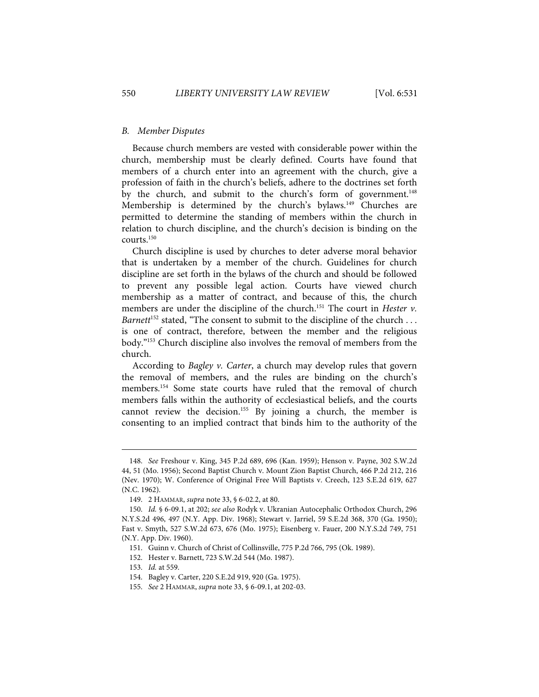### B. Member Disputes

Because church members are vested with considerable power within the church, membership must be clearly defined. Courts have found that members of a church enter into an agreement with the church, give a profession of faith in the church's beliefs, adhere to the doctrines set forth by the church, and submit to the church's form of government.<sup>148</sup> Membership is determined by the church's bylaws.<sup>149</sup> Churches are permitted to determine the standing of members within the church in relation to church discipline, and the church's decision is binding on the courts.150

Church discipline is used by churches to deter adverse moral behavior that is undertaken by a member of the church. Guidelines for church discipline are set forth in the bylaws of the church and should be followed to prevent any possible legal action. Courts have viewed church membership as a matter of contract, and because of this, the church members are under the discipline of the church.<sup>151</sup> The court in *Hester v*. Barnett<sup>152</sup> stated, "The consent to submit to the discipline of the church ... is one of contract, therefore, between the member and the religious body."153 Church discipline also involves the removal of members from the church.

According to Bagley v. Carter, a church may develop rules that govern the removal of members, and the rules are binding on the church's members.<sup>154</sup> Some state courts have ruled that the removal of church members falls within the authority of ecclesiastical beliefs, and the courts cannot review the decision.155 By joining a church, the member is consenting to an implied contract that binds him to the authority of the

 <sup>148.</sup> See Freshour v. King, 345 P.2d 689, 696 (Kan. 1959); Henson v. Payne, 302 S.W.2d 44, 51 (Mo. 1956); Second Baptist Church v. Mount Zion Baptist Church, 466 P.2d 212, 216 (Nev. 1970); W. Conference of Original Free Will Baptists v. Creech, 123 S.E.2d 619, 627 (N.C. 1962).

 <sup>149. 2</sup> HAMMAR, supra note 33, § 6-02.2, at 80.

 <sup>150.</sup> Id. § 6-09.1, at 202; see also Rodyk v. Ukranian Autocephalic Orthodox Church, 296 N.Y.S.2d 496, 497 (N.Y. App. Div. 1968); Stewart v. Jarriel, 59 S.E.2d 368, 370 (Ga. 1950); Fast v. Smyth, 527 S.W.2d 673, 676 (Mo. 1975); Eisenberg v. Fauer, 200 N.Y.S.2d 749, 751 (N.Y. App. Div. 1960).

 <sup>151.</sup> Guinn v. Church of Christ of Collinsville, 775 P.2d 766, 795 (Ok. 1989).

 <sup>152.</sup> Hester v. Barnett, 723 S.W.2d 544 (Mo. 1987).

 <sup>153.</sup> Id. at 559.

 <sup>154.</sup> Bagley v. Carter, 220 S.E.2d 919, 920 (Ga. 1975).

 <sup>155.</sup> See 2 HAMMAR, supra note 33, § 6-09.1, at 202-03.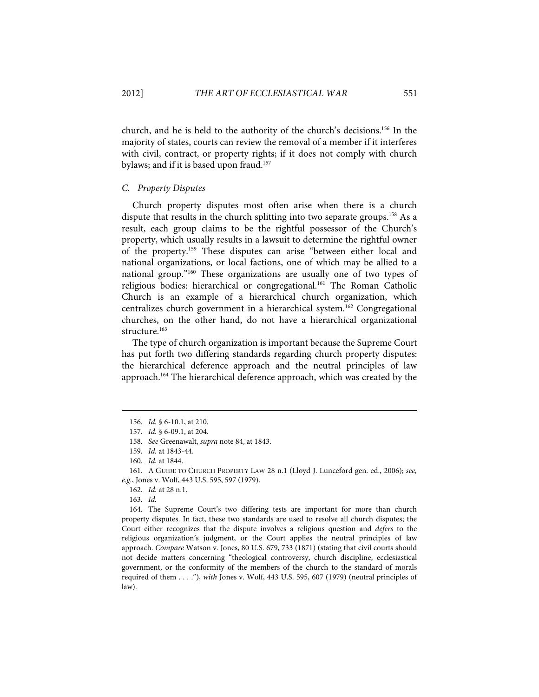church, and he is held to the authority of the church's decisions.156 In the majority of states, courts can review the removal of a member if it interferes with civil, contract, or property rights; if it does not comply with church bylaws; and if it is based upon fraud.157

#### C. Property Disputes

Church property disputes most often arise when there is a church dispute that results in the church splitting into two separate groups.<sup>158</sup> As a result, each group claims to be the rightful possessor of the Church's property, which usually results in a lawsuit to determine the rightful owner of the property.159 These disputes can arise "between either local and national organizations, or local factions, one of which may be allied to a national group."160 These organizations are usually one of two types of religious bodies: hierarchical or congregational.<sup>161</sup> The Roman Catholic Church is an example of a hierarchical church organization, which centralizes church government in a hierarchical system.162 Congregational churches, on the other hand, do not have a hierarchical organizational structure.<sup>163</sup>

The type of church organization is important because the Supreme Court has put forth two differing standards regarding church property disputes: the hierarchical deference approach and the neutral principles of law approach.<sup>164</sup> The hierarchical deference approach, which was created by the

 <sup>156.</sup> Id. § 6-10.1, at 210.

 <sup>157.</sup> Id. § 6-09.1, at 204.

 <sup>158.</sup> See Greenawalt, supra note 84, at 1843.

 <sup>159.</sup> Id. at 1843-44.

 <sup>160.</sup> Id. at 1844.

 <sup>161.</sup> A GUIDE TO CHURCH PROPERTY LAW 28 n.1 (Lloyd J. Lunceford gen. ed., 2006); see, e.g., Jones v. Wolf, 443 U.S. 595, 597 (1979).

 <sup>162.</sup> Id. at 28 n.1.

 <sup>163.</sup> Id.

 <sup>164.</sup> The Supreme Court's two differing tests are important for more than church property disputes. In fact, these two standards are used to resolve all church disputes; the Court either recognizes that the dispute involves a religious question and defers to the religious organization's judgment, or the Court applies the neutral principles of law approach. Compare Watson v. Jones, 80 U.S. 679, 733 (1871) (stating that civil courts should not decide matters concerning "theological controversy, church discipline, ecclesiastical government, or the conformity of the members of the church to the standard of morals required of them . . . ."), with Jones v. Wolf, 443 U.S. 595, 607 (1979) (neutral principles of law).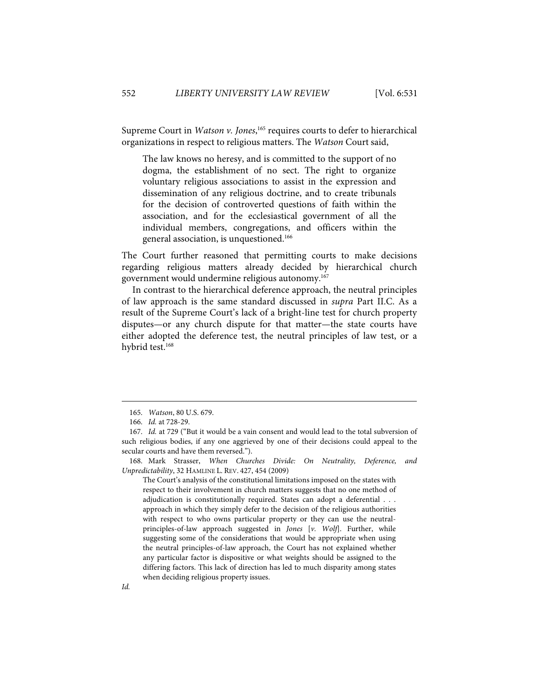Supreme Court in Watson v. Jones,<sup>165</sup> requires courts to defer to hierarchical organizations in respect to religious matters. The Watson Court said,

The law knows no heresy, and is committed to the support of no dogma, the establishment of no sect. The right to organize voluntary religious associations to assist in the expression and dissemination of any religious doctrine, and to create tribunals for the decision of controverted questions of faith within the association, and for the ecclesiastical government of all the individual members, congregations, and officers within the general association, is unquestioned.166

The Court further reasoned that permitting courts to make decisions regarding religious matters already decided by hierarchical church government would undermine religious autonomy.167

In contrast to the hierarchical deference approach, the neutral principles of law approach is the same standard discussed in supra Part II.C. As a result of the Supreme Court's lack of a bright-line test for church property disputes—or any church dispute for that matter—the state courts have either adopted the deference test, the neutral principles of law test, or a hybrid test.<sup>168</sup>

 <sup>165.</sup> Watson, 80 U.S. 679.

 <sup>166.</sup> Id. at 728-29.

 <sup>167.</sup> Id. at 729 ("But it would be a vain consent and would lead to the total subversion of such religious bodies, if any one aggrieved by one of their decisions could appeal to the secular courts and have them reversed.").

 <sup>168.</sup> Mark Strasser, When Churches Divide: On Neutrality, Deference, and Unpredictability, 32 HAMLINE L. REV. 427, 454 (2009)

The Court's analysis of the constitutional limitations imposed on the states with respect to their involvement in church matters suggests that no one method of adjudication is constitutionally required. States can adopt a deferential . . . approach in which they simply defer to the decision of the religious authorities with respect to who owns particular property or they can use the neutralprinciples-of-law approach suggested in Jones [v. Wolf]. Further, while suggesting some of the considerations that would be appropriate when using the neutral principles-of-law approach, the Court has not explained whether any particular factor is dispositive or what weights should be assigned to the differing factors. This lack of direction has led to much disparity among states when deciding religious property issues.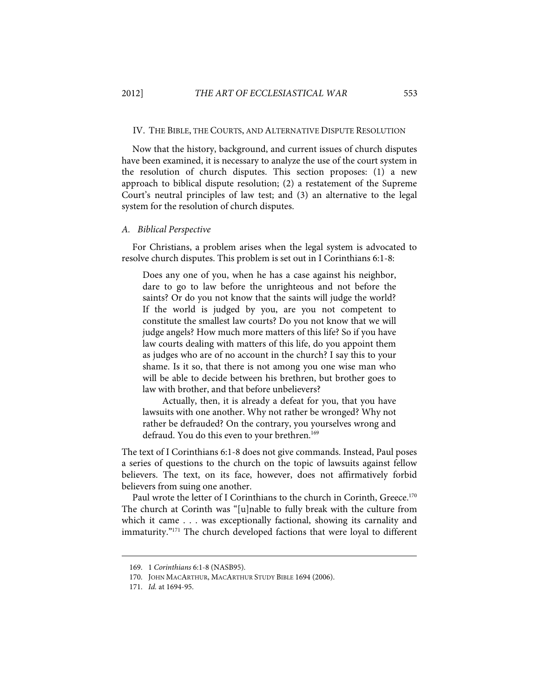#### IV. THE BIBLE, THE COURTS, AND ALTERNATIVE DISPUTE RESOLUTION

Now that the history, background, and current issues of church disputes have been examined, it is necessary to analyze the use of the court system in the resolution of church disputes. This section proposes: (1) a new approach to biblical dispute resolution; (2) a restatement of the Supreme Court's neutral principles of law test; and (3) an alternative to the legal system for the resolution of church disputes.

#### A. Biblical Perspective

For Christians, a problem arises when the legal system is advocated to resolve church disputes. This problem is set out in I Corinthians 6:1-8:

Does any one of you, when he has a case against his neighbor, dare to go to law before the unrighteous and not before the saints? Or do you not know that the saints will judge the world? If the world is judged by you, are you not competent to constitute the smallest law courts? Do you not know that we will judge angels? How much more matters of this life? So if you have law courts dealing with matters of this life, do you appoint them as judges who are of no account in the church? I say this to your shame. Is it so, that there is not among you one wise man who will be able to decide between his brethren, but brother goes to law with brother, and that before unbelievers?

Actually, then, it is already a defeat for you, that you have lawsuits with one another. Why not rather be wronged? Why not rather be defrauded? On the contrary, you yourselves wrong and defraud. You do this even to your brethren.<sup>169</sup>

The text of I Corinthians 6:1-8 does not give commands. Instead, Paul poses a series of questions to the church on the topic of lawsuits against fellow believers. The text, on its face, however, does not affirmatively forbid believers from suing one another.

Paul wrote the letter of I Corinthians to the church in Corinth, Greece.<sup>170</sup> The church at Corinth was "[u]nable to fully break with the culture from which it came . . . was exceptionally factional, showing its carnality and immaturity."<sup>171</sup> The church developed factions that were loyal to different

 <sup>169. 1</sup> Corinthians 6:1-8 (NASB95).

 <sup>170.</sup> JOHN MACARTHUR, MACARTHUR STUDY BIBLE 1694 (2006).

 <sup>171.</sup> Id. at 1694-95.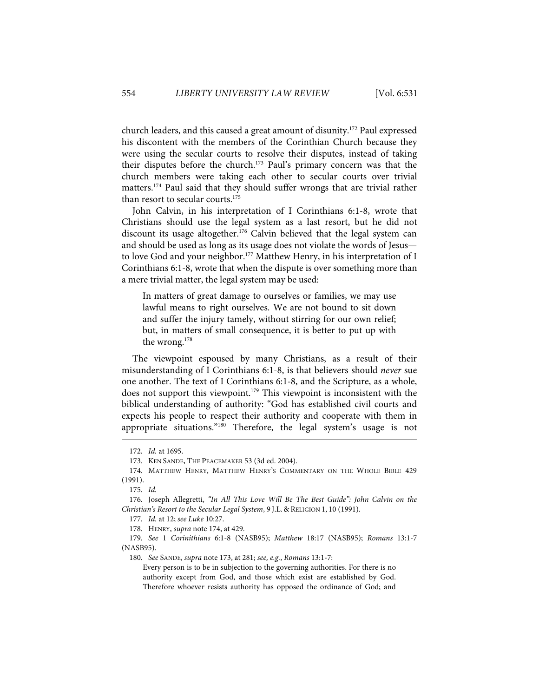church leaders, and this caused a great amount of disunity.172 Paul expressed his discontent with the members of the Corinthian Church because they were using the secular courts to resolve their disputes, instead of taking their disputes before the church.<sup>173</sup> Paul's primary concern was that the church members were taking each other to secular courts over trivial matters.174 Paul said that they should suffer wrongs that are trivial rather than resort to secular courts.<sup>175</sup>

John Calvin, in his interpretation of I Corinthians 6:1-8, wrote that Christians should use the legal system as a last resort, but he did not discount its usage altogether.<sup>176</sup> Calvin believed that the legal system can and should be used as long as its usage does not violate the words of Jesus to love God and your neighbor.<sup>177</sup> Matthew Henry, in his interpretation of I Corinthians 6:1-8, wrote that when the dispute is over something more than a mere trivial matter, the legal system may be used:

In matters of great damage to ourselves or families, we may use lawful means to right ourselves. We are not bound to sit down and suffer the injury tamely, without stirring for our own relief; but, in matters of small consequence, it is better to put up with the wrong.178

The viewpoint espoused by many Christians, as a result of their misunderstanding of I Corinthians 6:1-8, is that believers should never sue one another. The text of I Corinthians 6:1-8, and the Scripture, as a whole, does not support this viewpoint.179 This viewpoint is inconsistent with the biblical understanding of authority: "God has established civil courts and expects his people to respect their authority and cooperate with them in appropriate situations."180 Therefore, the legal system's usage is not

1

180. See SANDE, supra note 173, at 281; see, e.g., Romans 13:1-7:

Every person is to be in subjection to the governing authorities. For there is no authority except from God, and those which exist are established by God. Therefore whoever resists authority has opposed the ordinance of God; and

 <sup>172.</sup> Id. at 1695.

 <sup>173.</sup> KEN SANDE, THE PEACEMAKER 53 (3d ed. 2004).

 <sup>174.</sup> MATTHEW HENRY, MATTHEW HENRY'S COMMENTARY ON THE WHOLE BIBLE 429 (1991).

 <sup>175.</sup> Id.

 <sup>176.</sup> Joseph Allegretti, "In All This Love Will Be The Best Guide": John Calvin on the Christian's Resort to the Secular Legal System, 9 J.L. & RELIGION 1, 10 (1991).

 <sup>177.</sup> Id. at 12; see Luke 10:27.

 <sup>178.</sup> HENRY, supra note 174, at 429.

 <sup>179.</sup> See 1 Corinithians 6:1-8 (NASB95); Matthew 18:17 (NASB95); Romans 13:1-7 (NASB95).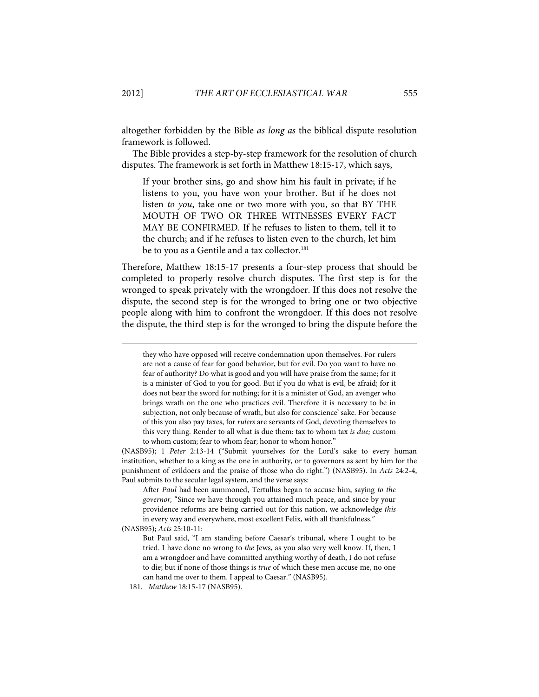altogether forbidden by the Bible as long as the biblical dispute resolution framework is followed.

The Bible provides a step-by-step framework for the resolution of church disputes. The framework is set forth in Matthew 18:15-17, which says,

If your brother sins, go and show him his fault in private; if he listens to you, you have won your brother. But if he does not listen to you, take one or two more with you, so that BY THE MOUTH OF TWO OR THREE WITNESSES EVERY FACT MAY BE CONFIRMED. If he refuses to listen to them, tell it to the church; and if he refuses to listen even to the church, let him be to you as a Gentile and a tax collector.<sup>181</sup>

Therefore, Matthew 18:15-17 presents a four-step process that should be completed to properly resolve church disputes. The first step is for the wronged to speak privately with the wrongdoer. If this does not resolve the dispute, the second step is for the wronged to bring one or two objective people along with him to confront the wrongdoer. If this does not resolve the dispute, the third step is for the wronged to bring the dispute before the

(NASB95); 1 Peter 2:13-14 ("Submit yourselves for the Lord's sake to every human institution, whether to a king as the one in authority, or to governors as sent by him for the punishment of evildoers and the praise of those who do right.") (NASB95). In Acts 24:2-4, Paul submits to the secular legal system, and the verse says:

After Paul had been summoned, Tertullus began to accuse him, saying to the governor, "Since we have through you attained much peace, and since by your providence reforms are being carried out for this nation, we acknowledge this in every way and everywhere, most excellent Felix, with all thankfulness."

(NASB95); Acts 25:10-11:

they who have opposed will receive condemnation upon themselves. For rulers are not a cause of fear for good behavior, but for evil. Do you want to have no fear of authority? Do what is good and you will have praise from the same; for it is a minister of God to you for good. But if you do what is evil, be afraid; for it does not bear the sword for nothing; for it is a minister of God, an avenger who brings wrath on the one who practices evil. Therefore it is necessary to be in subjection, not only because of wrath, but also for conscience' sake. For because of this you also pay taxes, for rulers are servants of God, devoting themselves to this very thing. Render to all what is due them: tax to whom tax is due; custom to whom custom; fear to whom fear; honor to whom honor."

But Paul said, "I am standing before Caesar's tribunal, where I ought to be tried. I have done no wrong to the Jews, as you also very well know. If, then, I am a wrongdoer and have committed anything worthy of death, I do not refuse to die; but if none of those things is true of which these men accuse me, no one can hand me over to them. I appeal to Caesar." (NASB95).

 <sup>181.</sup> Matthew 18:15-17 (NASB95).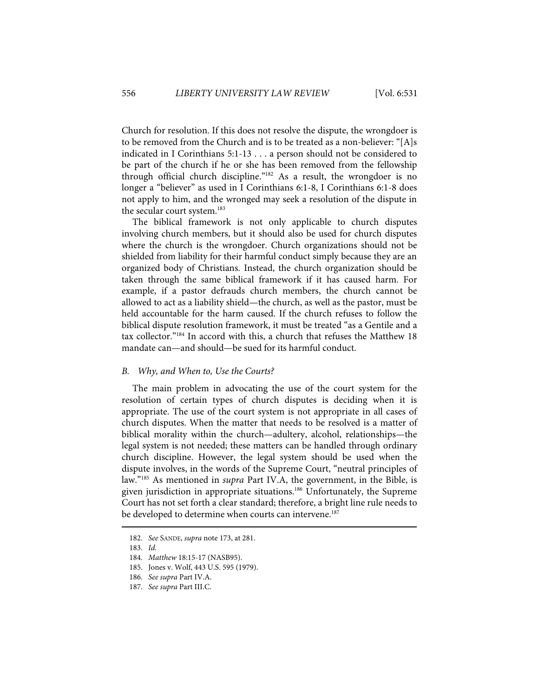Church for resolution. If this does not resolve the dispute, the wrongdoer is to be removed from the Church and is to be treated as a non-believer: "[A]s indicated in I Corinthians 5:1-13 . . . a person should not be considered to be part of the church if he or she has been removed from the fellowship through official church discipline."182 As a result, the wrongdoer is no longer a "believer" as used in I Corinthians 6:1-8, I Corinthians 6:1-8 does not apply to him, and the wronged may seek a resolution of the dispute in the secular court system.<sup>183</sup>

The biblical framework is not only applicable to church disputes involving church members, but it should also be used for church disputes where the church is the wrongdoer. Church organizations should not be shielded from liability for their harmful conduct simply because they are an organized body of Christians. Instead, the church organization should be taken through the same biblical framework if it has caused harm. For example, if a pastor defrauds church members, the church cannot be allowed to act as a liability shield—the church, as well as the pastor, must be held accountable for the harm caused. If the church refuses to follow the biblical dispute resolution framework, it must be treated "as a Gentile and a tax collector."184 In accord with this, a church that refuses the Matthew 18 mandate can—and should—be sued for its harmful conduct.

#### B. Why, and When to, Use the Courts?

The main problem in advocating the use of the court system for the resolution of certain types of church disputes is deciding when it is appropriate. The use of the court system is not appropriate in all cases of church disputes. When the matter that needs to be resolved is a matter of biblical morality within the church—adultery, alcohol, relationships—the legal system is not needed; these matters can be handled through ordinary church discipline. However, the legal system should be used when the dispute involves, in the words of the Supreme Court, "neutral principles of law."185 As mentioned in supra Part IV.A, the government, in the Bible, is given jurisdiction in appropriate situations.<sup>186</sup> Unfortunately, the Supreme Court has not set forth a clear standard; therefore, a bright line rule needs to be developed to determine when courts can intervene.<sup>187</sup>

 <sup>182.</sup> See SANDE, supra note 173, at 281.

 <sup>183.</sup> Id.

 <sup>184.</sup> Matthew 18:15-17 (NASB95).

 <sup>185.</sup> Jones v. Wolf, 443 U.S. 595 (1979).

 <sup>186.</sup> See supra Part IV.A.

 <sup>187.</sup> See supra Part III.C.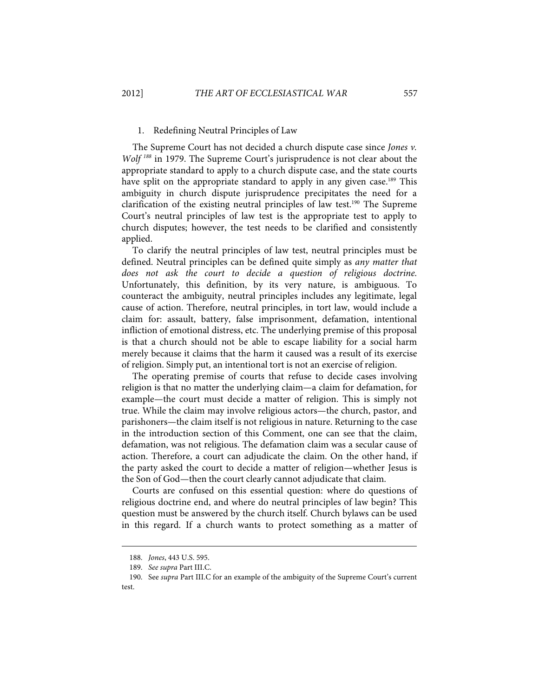### 1. Redefining Neutral Principles of Law

The Supreme Court has not decided a church dispute case since Jones v. Wolf<sup>188</sup> in 1979. The Supreme Court's jurisprudence is not clear about the appropriate standard to apply to a church dispute case, and the state courts have split on the appropriate standard to apply in any given case.<sup>189</sup> This ambiguity in church dispute jurisprudence precipitates the need for a clarification of the existing neutral principles of law test.<sup>190</sup> The Supreme Court's neutral principles of law test is the appropriate test to apply to church disputes; however, the test needs to be clarified and consistently applied.

To clarify the neutral principles of law test, neutral principles must be defined. Neutral principles can be defined quite simply as any matter that does not ask the court to decide a question of religious doctrine. Unfortunately, this definition, by its very nature, is ambiguous. To counteract the ambiguity, neutral principles includes any legitimate, legal cause of action. Therefore, neutral principles, in tort law, would include a claim for: assault, battery, false imprisonment, defamation, intentional infliction of emotional distress, etc. The underlying premise of this proposal is that a church should not be able to escape liability for a social harm merely because it claims that the harm it caused was a result of its exercise of religion. Simply put, an intentional tort is not an exercise of religion.

The operating premise of courts that refuse to decide cases involving religion is that no matter the underlying claim—a claim for defamation, for example—the court must decide a matter of religion. This is simply not true. While the claim may involve religious actors—the church, pastor, and parishoners—the claim itself is not religious in nature. Returning to the case in the introduction section of this Comment, one can see that the claim, defamation, was not religious. The defamation claim was a secular cause of action. Therefore, a court can adjudicate the claim. On the other hand, if the party asked the court to decide a matter of religion—whether Jesus is the Son of God—then the court clearly cannot adjudicate that claim.

Courts are confused on this essential question: where do questions of religious doctrine end, and where do neutral principles of law begin? This question must be answered by the church itself. Church bylaws can be used in this regard. If a church wants to protect something as a matter of

 <sup>188.</sup> Jones, 443 U.S. 595.

 <sup>189.</sup> See supra Part III.C.

 <sup>190.</sup> See supra Part III.C for an example of the ambiguity of the Supreme Court's current test.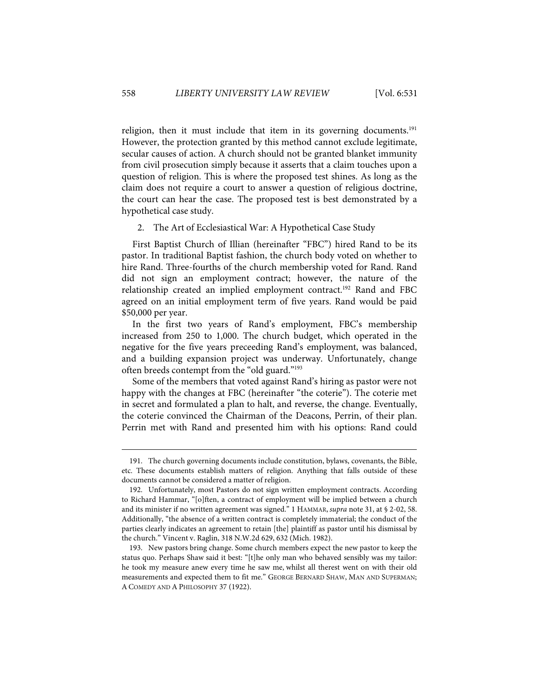religion, then it must include that item in its governing documents.<sup>191</sup> However, the protection granted by this method cannot exclude legitimate, secular causes of action. A church should not be granted blanket immunity from civil prosecution simply because it asserts that a claim touches upon a question of religion. This is where the proposed test shines. As long as the claim does not require a court to answer a question of religious doctrine, the court can hear the case. The proposed test is best demonstrated by a hypothetical case study.

### 2. The Art of Ecclesiastical War: A Hypothetical Case Study

First Baptist Church of Illian (hereinafter "FBC") hired Rand to be its pastor. In traditional Baptist fashion, the church body voted on whether to hire Rand. Three-fourths of the church membership voted for Rand. Rand did not sign an employment contract; however, the nature of the relationship created an implied employment contract.<sup>192</sup> Rand and FBC agreed on an initial employment term of five years. Rand would be paid \$50,000 per year.

In the first two years of Rand's employment, FBC's membership increased from 250 to 1,000. The church budget, which operated in the negative for the five years preceeding Rand's employment, was balanced, and a building expansion project was underway. Unfortunately, change often breeds contempt from the "old guard."193

Some of the members that voted against Rand's hiring as pastor were not happy with the changes at FBC (hereinafter "the coterie"). The coterie met in secret and formulated a plan to halt, and reverse, the change. Eventually, the coterie convinced the Chairman of the Deacons, Perrin, of their plan. Perrin met with Rand and presented him with his options: Rand could

 <sup>191.</sup> The church governing documents include constitution, bylaws, covenants, the Bible, etc. These documents establish matters of religion. Anything that falls outside of these documents cannot be considered a matter of religion.

 <sup>192.</sup> Unfortunately, most Pastors do not sign written employment contracts. According to Richard Hammar, "[o]ften, a contract of employment will be implied between a church and its minister if no written agreement was signed." 1 HAMMAR, supra note 31, at § 2-02, 58. Additionally, "the absence of a written contract is completely immaterial; the conduct of the parties clearly indicates an agreement to retain [the] plaintiff as pastor until his dismissal by the church." Vincent v. Raglin, 318 N.W.2d 629, 632 (Mich. 1982).

 <sup>193.</sup> New pastors bring change. Some church members expect the new pastor to keep the status quo. Perhaps Shaw said it best: "[t]he only man who behaved sensibly was my tailor: he took my measure anew every time he saw me, whilst all therest went on with their old measurements and expected them to fit me." GEORGE BERNARD SHAW, MAN AND SUPERMAN; A COMEDY AND A PHILOSOPHY 37 (1922).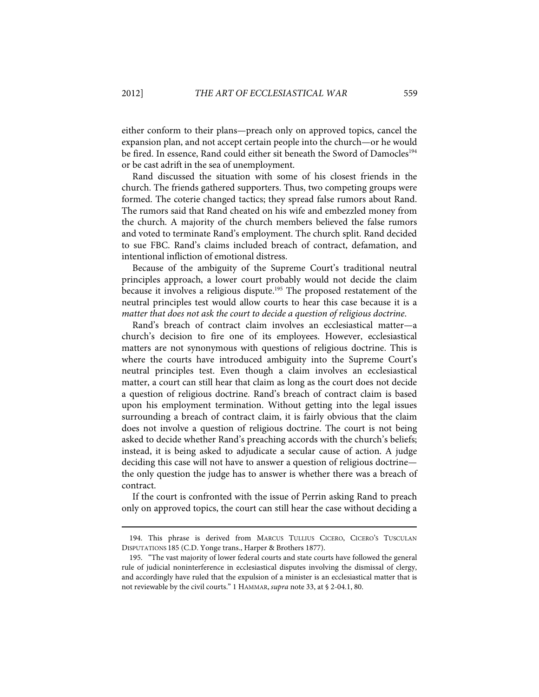either conform to their plans—preach only on approved topics, cancel the expansion plan, and not accept certain people into the church—or he would be fired. In essence, Rand could either sit beneath the Sword of Damocles<sup>194</sup> or be cast adrift in the sea of unemployment.

Rand discussed the situation with some of his closest friends in the church. The friends gathered supporters. Thus, two competing groups were formed. The coterie changed tactics; they spread false rumors about Rand. The rumors said that Rand cheated on his wife and embezzled money from the church. A majority of the church members believed the false rumors and voted to terminate Rand's employment. The church split. Rand decided to sue FBC. Rand's claims included breach of contract, defamation, and intentional infliction of emotional distress.

Because of the ambiguity of the Supreme Court's traditional neutral principles approach, a lower court probably would not decide the claim because it involves a religious dispute.<sup>195</sup> The proposed restatement of the neutral principles test would allow courts to hear this case because it is a matter that does not ask the court to decide a question of religious doctrine.

Rand's breach of contract claim involves an ecclesiastical matter—a church's decision to fire one of its employees. However, ecclesiastical matters are not synonymous with questions of religious doctrine. This is where the courts have introduced ambiguity into the Supreme Court's neutral principles test. Even though a claim involves an ecclesiastical matter, a court can still hear that claim as long as the court does not decide a question of religious doctrine. Rand's breach of contract claim is based upon his employment termination. Without getting into the legal issues surrounding a breach of contract claim, it is fairly obvious that the claim does not involve a question of religious doctrine. The court is not being asked to decide whether Rand's preaching accords with the church's beliefs; instead, it is being asked to adjudicate a secular cause of action. A judge deciding this case will not have to answer a question of religious doctrine the only question the judge has to answer is whether there was a breach of contract.

If the court is confronted with the issue of Perrin asking Rand to preach only on approved topics, the court can still hear the case without deciding a

 <sup>194.</sup> This phrase is derived from MARCUS TULLIUS CICERO, CICERO'S TUSCULAN DISPUTATIONS 185 (C.D. Yonge trans., Harper & Brothers 1877).

 <sup>195. &</sup>quot;The vast majority of lower federal courts and state courts have followed the general rule of judicial noninterference in ecclesiastical disputes involving the dismissal of clergy, and accordingly have ruled that the expulsion of a minister is an ecclesiastical matter that is not reviewable by the civil courts." 1 HAMMAR, supra note 33, at § 2-04.1, 80.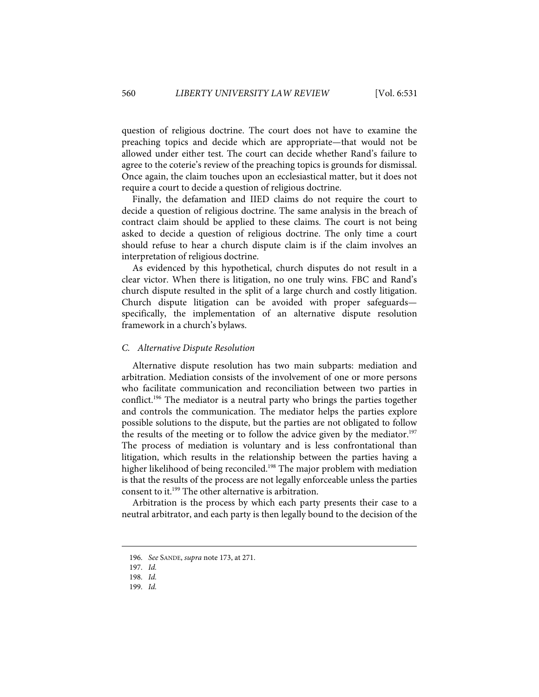question of religious doctrine. The court does not have to examine the preaching topics and decide which are appropriate—that would not be allowed under either test. The court can decide whether Rand's failure to agree to the coterie's review of the preaching topics is grounds for dismissal. Once again, the claim touches upon an ecclesiastical matter, but it does not require a court to decide a question of religious doctrine.

Finally, the defamation and IIED claims do not require the court to decide a question of religious doctrine. The same analysis in the breach of contract claim should be applied to these claims. The court is not being asked to decide a question of religious doctrine. The only time a court should refuse to hear a church dispute claim is if the claim involves an interpretation of religious doctrine.

As evidenced by this hypothetical, church disputes do not result in a clear victor. When there is litigation, no one truly wins. FBC and Rand's church dispute resulted in the split of a large church and costly litigation. Church dispute litigation can be avoided with proper safeguards specifically, the implementation of an alternative dispute resolution framework in a church's bylaws.

### C. Alternative Dispute Resolution

Alternative dispute resolution has two main subparts: mediation and arbitration. Mediation consists of the involvement of one or more persons who facilitate communication and reconciliation between two parties in conflict.196 The mediator is a neutral party who brings the parties together and controls the communication. The mediator helps the parties explore possible solutions to the dispute, but the parties are not obligated to follow the results of the meeting or to follow the advice given by the mediator.<sup>197</sup> The process of mediation is voluntary and is less confrontational than litigation, which results in the relationship between the parties having a higher likelihood of being reconciled.<sup>198</sup> The major problem with mediation is that the results of the process are not legally enforceable unless the parties consent to it.199 The other alternative is arbitration.

Arbitration is the process by which each party presents their case to a neutral arbitrator, and each party is then legally bound to the decision of the

 <sup>196.</sup> See SANDE, supra note 173, at 271.

 <sup>197.</sup> Id.

 <sup>198.</sup> Id.

 <sup>199.</sup> Id.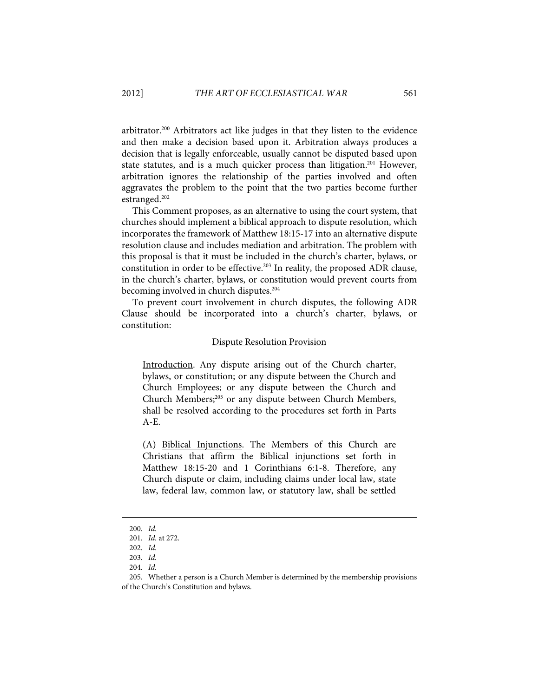arbitrator.200 Arbitrators act like judges in that they listen to the evidence and then make a decision based upon it. Arbitration always produces a decision that is legally enforceable, usually cannot be disputed based upon state statutes, and is a much quicker process than litigation.<sup>201</sup> However, arbitration ignores the relationship of the parties involved and often aggravates the problem to the point that the two parties become further estranged.202

This Comment proposes, as an alternative to using the court system, that churches should implement a biblical approach to dispute resolution, which incorporates the framework of Matthew 18:15-17 into an alternative dispute resolution clause and includes mediation and arbitration. The problem with this proposal is that it must be included in the church's charter, bylaws, or constitution in order to be effective.<sup>203</sup> In reality, the proposed ADR clause, in the church's charter, bylaws, or constitution would prevent courts from becoming involved in church disputes.<sup>204</sup>

To prevent court involvement in church disputes, the following ADR Clause should be incorporated into a church's charter, bylaws, or constitution:

#### Dispute Resolution Provision

Introduction. Any dispute arising out of the Church charter, bylaws, or constitution; or any dispute between the Church and Church Employees; or any dispute between the Church and Church Members;<sup>205</sup> or any dispute between Church Members, shall be resolved according to the procedures set forth in Parts A-E.

(A) Biblical Injunctions. The Members of this Church are Christians that affirm the Biblical injunctions set forth in Matthew 18:15-20 and 1 Corinthians 6:1-8. Therefore, any Church dispute or claim, including claims under local law, state law, federal law, common law, or statutory law, shall be settled

 <sup>200.</sup> Id.

 <sup>201.</sup> Id. at 272.

 <sup>202.</sup> Id.

 <sup>203.</sup> Id.

 <sup>204.</sup> Id.

 <sup>205.</sup> Whether a person is a Church Member is determined by the membership provisions of the Church's Constitution and bylaws.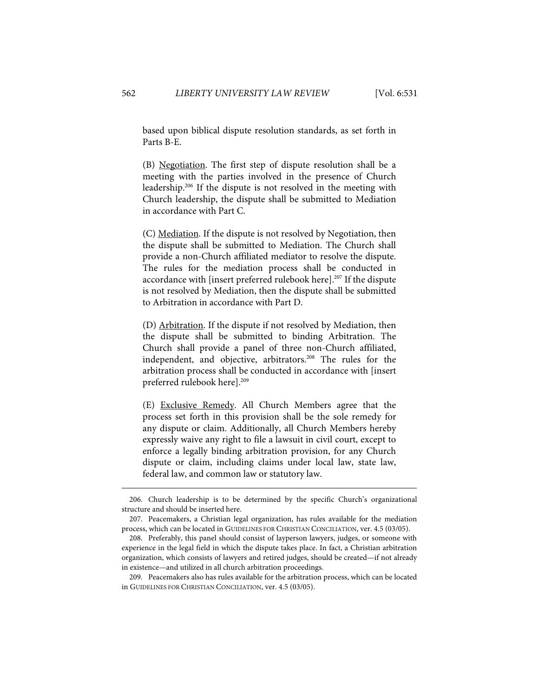based upon biblical dispute resolution standards, as set forth in Parts B-E.

(B) Negotiation. The first step of dispute resolution shall be a meeting with the parties involved in the presence of Church leadership.206 If the dispute is not resolved in the meeting with Church leadership, the dispute shall be submitted to Mediation in accordance with Part C.

(C) Mediation. If the dispute is not resolved by Negotiation, then the dispute shall be submitted to Mediation. The Church shall provide a non-Church affiliated mediator to resolve the dispute. The rules for the mediation process shall be conducted in accordance with [insert preferred rulebook here].<sup>207</sup> If the dispute is not resolved by Mediation, then the dispute shall be submitted to Arbitration in accordance with Part D.

(D) Arbitration. If the dispute if not resolved by Mediation, then the dispute shall be submitted to binding Arbitration. The Church shall provide a panel of three non-Church affiliated, independent, and objective, arbitrators.<sup>208</sup> The rules for the arbitration process shall be conducted in accordance with [insert preferred rulebook here].<sup>209</sup>

(E) Exclusive Remedy. All Church Members agree that the process set forth in this provision shall be the sole remedy for any dispute or claim. Additionally, all Church Members hereby expressly waive any right to file a lawsuit in civil court, except to enforce a legally binding arbitration provision, for any Church dispute or claim, including claims under local law, state law, federal law, and common law or statutory law.

 <sup>206.</sup> Church leadership is to be determined by the specific Church's organizational structure and should be inserted here.

 <sup>207.</sup> Peacemakers, a Christian legal organization, has rules available for the mediation process, which can be located in GUIDELINES FOR CHRISTIAN CONCILIATION, ver. 4.5 (03/05).

 <sup>208.</sup> Preferably, this panel should consist of layperson lawyers, judges, or someone with experience in the legal field in which the dispute takes place. In fact, a Christian arbitration organization, which consists of lawyers and retired judges, should be created—if not already in existence—and utilized in all church arbitration proceedings.

 <sup>209.</sup> Peacemakers also has rules available for the arbitration process, which can be located in GUIDELINES FOR CHRISTIAN CONCILIATION, ver. 4.5 (03/05).